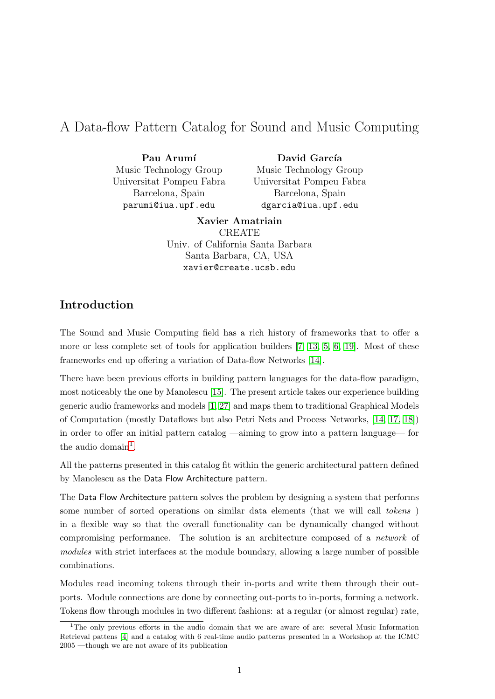# <span id="page-0-0"></span>A Data-flow Pattern Catalog for Sound and Music Computing

Pau Arumí Music Technology Group Universitat Pompeu Fabra Barcelona, Spain parumi@iua.upf.edu

David García Music Technology Group Universitat Pompeu Fabra

Barcelona, Spain dgarcia@iua.upf.edu

Xavier Amatriain **CREATE** Univ. of California Santa Barbara

Santa Barbara, CA, USA xavier@create.ucsb.edu

# Introduction

The Sound and Music Computing field has a rich history of frameworks that to offer a more or less complete set of tools for application builders [\[7,](#page-40-0) [13,](#page-40-1) [5,](#page-40-2) [6,](#page-40-3) [19\]](#page-41-0). Most of these frameworks end up offering a variation of Data-flow Networks [\[14\]](#page-41-1).

There have been previous efforts in building pattern languages for the data-flow paradigm, most noticeably the one by Manolescu [\[15\]](#page-41-2). The present article takes our experience building generic audio frameworks and models [\[1,](#page-40-4) [27\]](#page-41-3) and maps them to traditional Graphical Models of Computation (mostly Dataflows but also Petri Nets and Process Networks, [\[14,](#page-41-1) [17,](#page-41-4) [18\]](#page-41-5)) in order to offer an initial pattern catalog —aiming to grow into a pattern language— for the audio domain<sup>1</sup>.

All the patterns presented in this catalog fit within the generic architectural pattern defined by Manolescu as the Data Flow Architecture pattern.

The Data Flow Architecture pattern solves the problem by designing a system that performs some number of sorted operations on similar data elements (that we will call *tokens*) in a flexible way so that the overall functionality can be dynamically changed without compromising performance. The solution is an architecture composed of a network of modules with strict interfaces at the module boundary, allowing a large number of possible combinations.

Modules read incoming tokens through their in-ports and write them through their outports. Module connections are done by connecting out-ports to in-ports, forming a network. Tokens flow through modules in two different fashions: at a regular (or almost regular) rate,

<sup>&</sup>lt;sup>1</sup>The only previous efforts in the audio domain that we are aware of are: several Music Information Retrieval pattens [\[4\]](#page-40-5) and a catalog with 6 real-time audio patterns presented in a Workshop at the ICMC 2005 —though we are not aware of its publication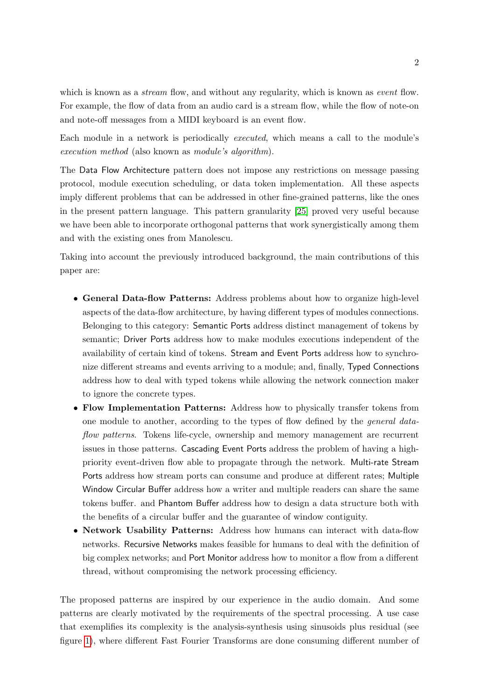which is known as a *stream* flow, and without any regularity, which is known as *event* flow. For example, the flow of data from an audio card is a stream flow, while the flow of note-on and note-off messages from a MIDI keyboard is an event flow.

Each module in a network is periodically executed, which means a call to the module's execution method (also known as module's algorithm).

The Data Flow Architecture pattern does not impose any restrictions on message passing protocol, module execution scheduling, or data token implementation. All these aspects imply different problems that can be addressed in other fine-grained patterns, like the ones in the present pattern language. This pattern granularity [\[25\]](#page-41-6) proved very useful because we have been able to incorporate orthogonal patterns that work synergistically among them and with the existing ones from Manolescu.

Taking into account the previously introduced background, the main contributions of this paper are:

- General Data-flow Patterns: Address problems about how to organize high-level aspects of the data-flow architecture, by having different types of modules connections. Belonging to this category: Semantic Ports address distinct management of tokens by semantic; Driver Ports address how to make modules executions independent of the availability of certain kind of tokens. Stream and Event Ports address how to synchronize different streams and events arriving to a module; and, finally, Typed Connections address how to deal with typed tokens while allowing the network connection maker to ignore the concrete types.
- Flow Implementation Patterns: Address how to physically transfer tokens from one module to another, according to the types of flow defined by the general dataflow patterns. Tokens life-cycle, ownership and memory management are recurrent issues in those patterns. Cascading Event Ports address the problem of having a highpriority event-driven flow able to propagate through the network. Multi-rate Stream Ports address how stream ports can consume and produce at different rates; Multiple Window Circular Buffer address how a writer and multiple readers can share the same tokens buffer. and Phantom Buffer address how to design a data structure both with the benefits of a circular buffer and the guarantee of window contiguity.
- Network Usability Patterns: Address how humans can interact with data-flow networks. Recursive Networks makes feasible for humans to deal with the definition of big complex networks; and Port Monitor address how to monitor a flow from a different thread, without compromising the network processing efficiency.

The proposed patterns are inspired by our experience in the audio domain. And some patterns are clearly motivated by the requirements of the spectral processing. A use case that exemplifies its complexity is the analysis-synthesis using sinusoids plus residual (see figure [1\)](#page-2-0), where different Fast Fourier Transforms are done consuming different number of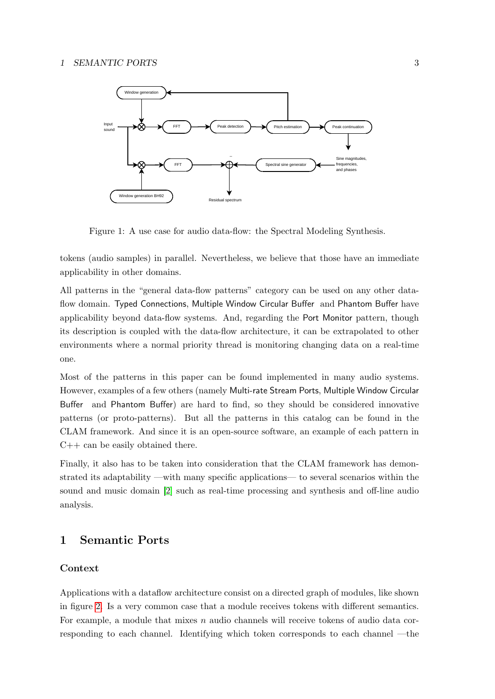#### 1 SEMANTIC PORTS 3



<span id="page-2-0"></span>Figure 1: A use case for audio data-flow: the Spectral Modeling Synthesis.

tokens (audio samples) in parallel. Nevertheless, we believe that those have an immediate applicability in other domains.

All patterns in the "general data-flow patterns" category can be used on any other dataflow domain. Typed Connections, Multiple Window Circular Buffer and Phantom Buffer have applicability beyond data-flow systems. And, regarding the Port Monitor pattern, though its description is coupled with the data-flow architecture, it can be extrapolated to other environments where a normal priority thread is monitoring changing data on a real-time one.

Most of the patterns in this paper can be found implemented in many audio systems. However, examples of a few others (namely Multi-rate Stream Ports, Multiple Window Circular Buffer and Phantom Buffer) are hard to find, so they should be considered innovative patterns (or proto-patterns). But all the patterns in this catalog can be found in the CLAM framework. And since it is an open-source software, an example of each pattern in C++ can be easily obtained there.

Finally, it also has to be taken into consideration that the CLAM framework has demonstrated its adaptability —with many specific applications— to several scenarios within the sound and music domain [\[2\]](#page-40-6) such as real-time processing and synthesis and off-line audio analysis.

# 1 Semantic Ports

### Context

Applications with a dataflow architecture consist on a directed graph of modules, like shown in figure [2.](#page-3-0) Is a very common case that a module receives tokens with different semantics. For example, a module that mixes n audio channels will receive tokens of audio data corresponding to each channel. Identifying which token corresponds to each channel —the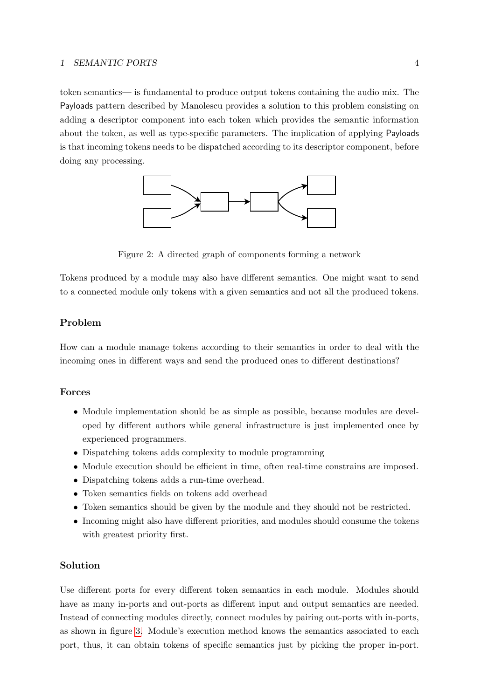token semantics— is fundamental to produce output tokens containing the audio mix. The Payloads pattern described by Manolescu provides a solution to this problem consisting on adding a descriptor component into each token which provides the semantic information about the token, as well as type-specific parameters. The implication of applying Payloads is that incoming tokens needs to be dispatched according to its descriptor component, before doing any processing.



Figure 2: A directed graph of components forming a network

<span id="page-3-0"></span>Tokens produced by a module may also have different semantics. One might want to send to a connected module only tokens with a given semantics and not all the produced tokens.

### Problem

How can a module manage tokens according to their semantics in order to deal with the incoming ones in different ways and send the produced ones to different destinations?

#### Forces

- Module implementation should be as simple as possible, because modules are developed by different authors while general infrastructure is just implemented once by experienced programmers.
- Dispatching tokens adds complexity to module programming
- Module execution should be efficient in time, often real-time constrains are imposed.
- Dispatching tokens adds a run-time overhead.
- Token semantics fields on tokens add overhead
- Token semantics should be given by the module and they should not be restricted.
- Incoming might also have different priorities, and modules should consume the tokens with greatest priority first.

#### Solution

Use different ports for every different token semantics in each module. Modules should have as many in-ports and out-ports as different input and output semantics are needed. Instead of connecting modules directly, connect modules by pairing out-ports with in-ports, as shown in figure [3.](#page-4-0) Module's execution method knows the semantics associated to each port, thus, it can obtain tokens of specific semantics just by picking the proper in-port.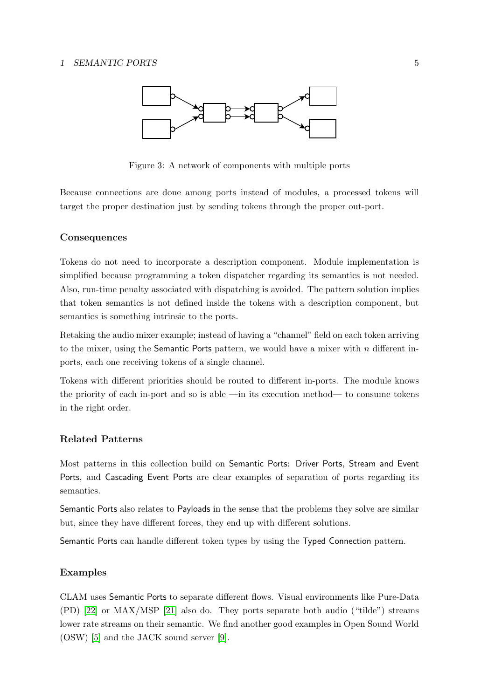#### 1 SEMANTIC PORTS 5



Figure 3: A network of components with multiple ports

<span id="page-4-0"></span>Because connections are done among ports instead of modules, a processed tokens will target the proper destination just by sending tokens through the proper out-port.

#### **Consequences**

Tokens do not need to incorporate a description component. Module implementation is simplified because programming a token dispatcher regarding its semantics is not needed. Also, run-time penalty associated with dispatching is avoided. The pattern solution implies that token semantics is not defined inside the tokens with a description component, but semantics is something intrinsic to the ports.

Retaking the audio mixer example; instead of having a "channel" field on each token arriving to the mixer, using the Semantic Ports pattern, we would have a mixer with  $n$  different inports, each one receiving tokens of a single channel.

Tokens with different priorities should be routed to different in-ports. The module knows the priority of each in-port and so is able —in its execution method— to consume tokens in the right order.

#### Related Patterns

Most patterns in this collection build on Semantic Ports: Driver Ports, Stream and Event Ports, and Cascading Event Ports are clear examples of separation of ports regarding its semantics.

Semantic Ports also relates to Payloads in the sense that the problems they solve are similar but, since they have different forces, they end up with different solutions.

Semantic Ports can handle different token types by using the Typed Connection pattern.

### Examples

CLAM uses Semantic Ports to separate different flows. Visual environments like Pure-Data (PD) [\[22\]](#page-41-7) or MAX/MSP [\[21\]](#page-41-8) also do. They ports separate both audio ("tilde") streams lower rate streams on their semantic. We find another good examples in Open Sound World (OSW) [\[5\]](#page-40-2) and the JACK sound server [\[9\]](#page-40-7).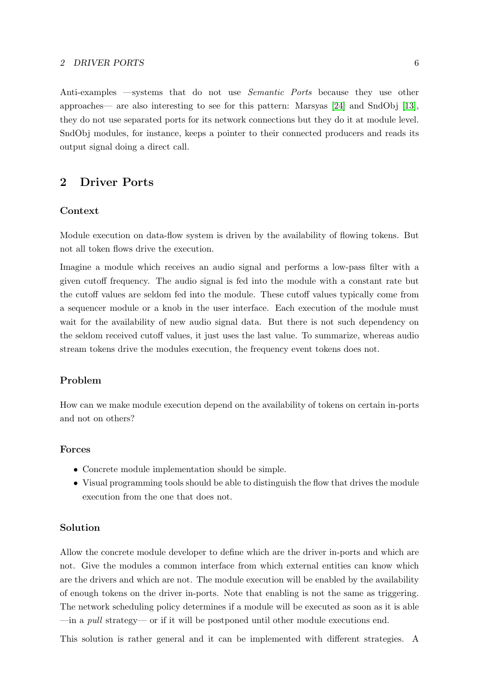Anti-examples —systems that do not use Semantic Ports because they use other approaches— are also interesting to see for this pattern: Marsyas [\[24\]](#page-41-9) and SndObj [\[13\]](#page-40-1), they do not use separated ports for its network connections but they do it at module level. SndObj modules, for instance, keeps a pointer to their connected producers and reads its output signal doing a direct call.

# 2 Driver Ports

### Context

Module execution on data-flow system is driven by the availability of flowing tokens. But not all token flows drive the execution.

Imagine a module which receives an audio signal and performs a low-pass filter with a given cutoff frequency. The audio signal is fed into the module with a constant rate but the cutoff values are seldom fed into the module. These cutoff values typically come from a sequencer module or a knob in the user interface. Each execution of the module must wait for the availability of new audio signal data. But there is not such dependency on the seldom received cutoff values, it just uses the last value. To summarize, whereas audio stream tokens drive the modules execution, the frequency event tokens does not.

### Problem

How can we make module execution depend on the availability of tokens on certain in-ports and not on others?

### Forces

- Concrete module implementation should be simple.
- Visual programming tools should be able to distinguish the flow that drives the module execution from the one that does not.

### Solution

Allow the concrete module developer to define which are the driver in-ports and which are not. Give the modules a common interface from which external entities can know which are the drivers and which are not. The module execution will be enabled by the availability of enough tokens on the driver in-ports. Note that enabling is not the same as triggering. The network scheduling policy determines if a module will be executed as soon as it is able —in a pull strategy— or if it will be postponed until other module executions end.

This solution is rather general and it can be implemented with different strategies. A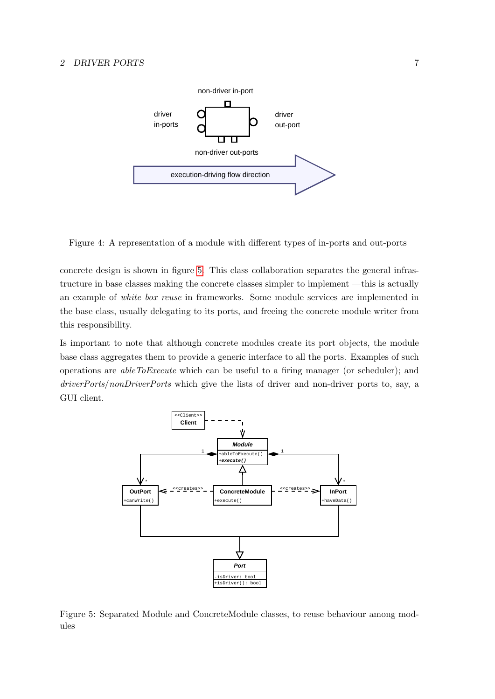

Figure 4: A representation of a module with different types of in-ports and out-ports

concrete design is shown in figure [5.](#page-6-0) This class collaboration separates the general infrastructure in base classes making the concrete classes simpler to implement —this is actually an example of white box reuse in frameworks. Some module services are implemented in the base class, usually delegating to its ports, and freeing the concrete module writer from this responsibility.

Is important to note that although concrete modules create its port objects, the module base class aggregates them to provide a generic interface to all the ports. Examples of such operations are ableToExecute which can be useful to a firing manager (or scheduler); and driverPorts/nonDriverPorts which give the lists of driver and non-driver ports to, say, a GUI client.



<span id="page-6-0"></span>Figure 5: Separated Module and ConcreteModule classes, to reuse behaviour among modules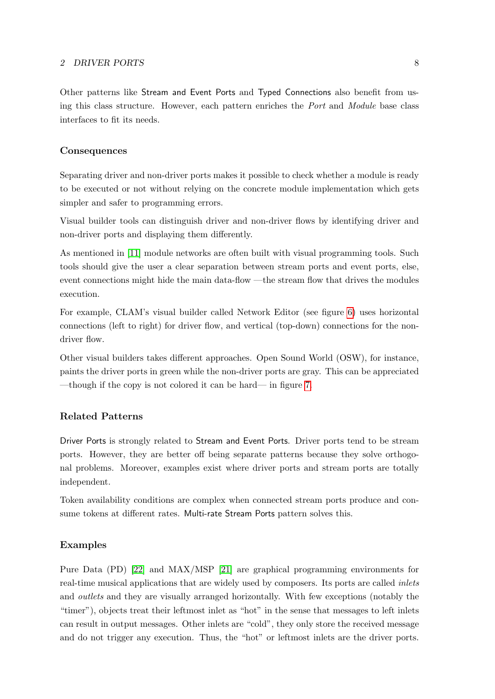### 2 DRIVER PORTS 8

Other patterns like Stream and Event Ports and Typed Connections also benefit from using this class structure. However, each pattern enriches the Port and Module base class interfaces to fit its needs.

### **Consequences**

Separating driver and non-driver ports makes it possible to check whether a module is ready to be executed or not without relying on the concrete module implementation which gets simpler and safer to programming errors.

Visual builder tools can distinguish driver and non-driver flows by identifying driver and non-driver ports and displaying them differently.

As mentioned in [\[11\]](#page-40-8) module networks are often built with visual programming tools. Such tools should give the user a clear separation between stream ports and event ports, else, event connections might hide the main data-flow —the stream flow that drives the modules execution.

For example, CLAM's visual builder called Network Editor (see figure [6\)](#page-8-0) uses horizontal connections (left to right) for driver flow, and vertical (top-down) connections for the nondriver flow.

Other visual builders takes different approaches. Open Sound World (OSW), for instance, paints the driver ports in green while the non-driver ports are gray. This can be appreciated —though if the copy is not colored it can be hard— in figure [7.](#page-8-1)

### Related Patterns

Driver Ports is strongly related to Stream and Event Ports. Driver ports tend to be stream ports. However, they are better off being separate patterns because they solve orthogonal problems. Moreover, examples exist where driver ports and stream ports are totally independent.

Token availability conditions are complex when connected stream ports produce and consume tokens at different rates. Multi-rate Stream Ports pattern solves this.

### Examples

Pure Data (PD) [\[22\]](#page-41-7) and MAX/MSP [\[21\]](#page-41-8) are graphical programming environments for real-time musical applications that are widely used by composers. Its ports are called inlets and outlets and they are visually arranged horizontally. With few exceptions (notably the "timer"), objects treat their leftmost inlet as "hot" in the sense that messages to left inlets can result in output messages. Other inlets are "cold", they only store the received message and do not trigger any execution. Thus, the "hot" or leftmost inlets are the driver ports.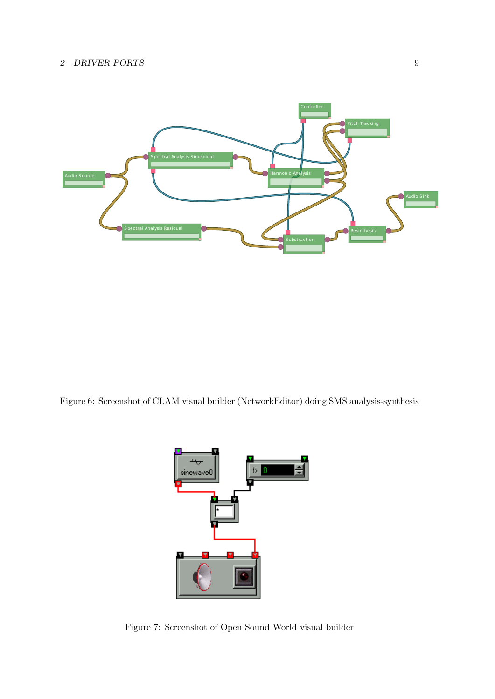

<span id="page-8-0"></span>Figure 6: Screenshot of CLAM visual builder (NetworkEditor) doing SMS analysis-synthesis



<span id="page-8-1"></span>Figure 7: Screenshot of Open Sound World visual builder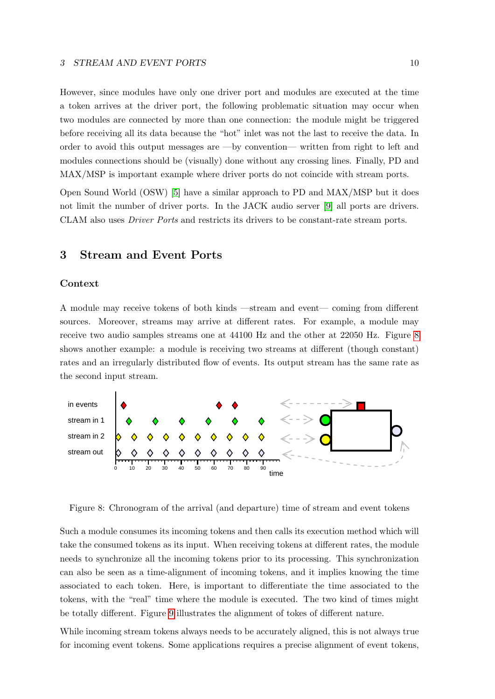However, since modules have only one driver port and modules are executed at the time a token arrives at the driver port, the following problematic situation may occur when two modules are connected by more than one connection: the module might be triggered before receiving all its data because the "hot" inlet was not the last to receive the data. In order to avoid this output messages are —by convention— written from right to left and modules connections should be (visually) done without any crossing lines. Finally, PD and MAX/MSP is important example where driver ports do not coincide with stream ports.

Open Sound World (OSW) [\[5\]](#page-40-2) have a similar approach to PD and MAX/MSP but it does not limit the number of driver ports. In the JACK audio server [\[9\]](#page-40-7) all ports are drivers. CLAM also uses Driver Ports and restricts its drivers to be constant-rate stream ports.

# 3 Stream and Event Ports

#### Context

A module may receive tokens of both kinds —stream and event— coming from different sources. Moreover, streams may arrive at different rates. For example, a module may receive two audio samples streams one at 44100 Hz and the other at 22050 Hz. Figure [8](#page-9-0) shows another example: a module is receiving two streams at different (though constant) rates and an irregularly distributed flow of events. Its output stream has the same rate as the second input stream.



<span id="page-9-0"></span>Figure 8: Chronogram of the arrival (and departure) time of stream and event tokens

Such a module consumes its incoming tokens and then calls its execution method which will take the consumed tokens as its input. When receiving tokens at different rates, the module needs to synchronize all the incoming tokens prior to its processing. This synchronization can also be seen as a time-alignment of incoming tokens, and it implies knowing the time associated to each token. Here, is important to differentiate the time associated to the tokens, with the "real" time where the module is executed. The two kind of times might be totally different. Figure [9](#page-10-0) illustrates the alignment of tokes of different nature.

While incoming stream tokens always needs to be accurately aligned, this is not always true for incoming event tokens. Some applications requires a precise alignment of event tokens,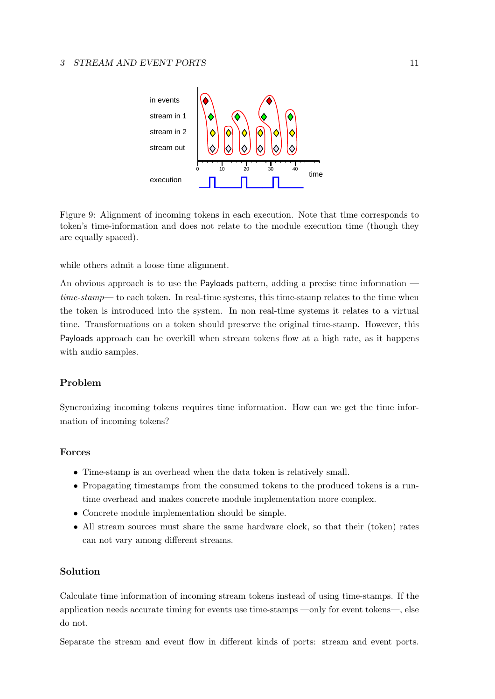

<span id="page-10-0"></span>Figure 9: Alignment of incoming tokens in each execution. Note that time corresponds to token's time-information and does not relate to the module execution time (though they are equally spaced).

while others admit a loose time alignment.

An obvious approach is to use the Payloads pattern, adding a precise time information time-stamp— to each token. In real-time systems, this time-stamp relates to the time when the token is introduced into the system. In non real-time systems it relates to a virtual time. Transformations on a token should preserve the original time-stamp. However, this Payloads approach can be overkill when stream tokens flow at a high rate, as it happens with audio samples.

### Problem

Syncronizing incoming tokens requires time information. How can we get the time information of incoming tokens?

### Forces

- Time-stamp is an overhead when the data token is relatively small.
- Propagating timestamps from the consumed tokens to the produced tokens is a runtime overhead and makes concrete module implementation more complex.
- Concrete module implementation should be simple.
- All stream sources must share the same hardware clock, so that their (token) rates can not vary among different streams.

### Solution

Calculate time information of incoming stream tokens instead of using time-stamps. If the application needs accurate timing for events use time-stamps —only for event tokens—, else do not.

Separate the stream and event flow in different kinds of ports: stream and event ports.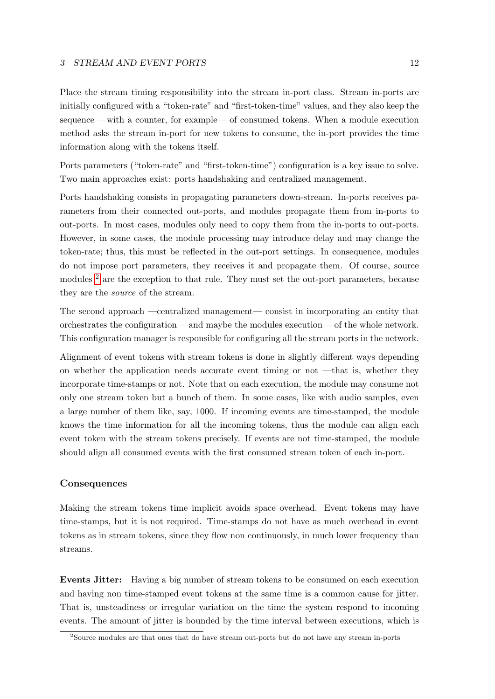Place the stream timing responsibility into the stream in-port class. Stream in-ports are initially configured with a "token-rate" and "first-token-time" values, and they also keep the sequence —with a counter, for example— of consumed tokens. When a module execution method asks the stream in-port for new tokens to consume, the in-port provides the time information along with the tokens itself.

Ports parameters ("token-rate" and "first-token-time") configuration is a key issue to solve. Two main approaches exist: ports handshaking and centralized management.

Ports handshaking consists in propagating parameters down-stream. In-ports receives parameters from their connected out-ports, and modules propagate them from in-ports to out-ports. In most cases, modules only need to copy them from the in-ports to out-ports. However, in some cases, the module processing may introduce delay and may change the token-rate; thus, this must be reflected in the out-port settings. In consequence, modules do not impose port parameters, they receives it and propagate them. Of course, source modules <sup>[2](#page-0-0)</sup> are the exception to that rule. They must set the out-port parameters, because they are the *source* of the stream.

The second approach —centralized management— consist in incorporating an entity that orchestrates the configuration —and maybe the modules execution— of the whole network. This configuration manager is responsible for configuring all the stream ports in the network.

Alignment of event tokens with stream tokens is done in slightly different ways depending on whether the application needs accurate event timing or not —that is, whether they incorporate time-stamps or not. Note that on each execution, the module may consume not only one stream token but a bunch of them. In some cases, like with audio samples, even a large number of them like, say, 1000. If incoming events are time-stamped, the module knows the time information for all the incoming tokens, thus the module can align each event token with the stream tokens precisely. If events are not time-stamped, the module should align all consumed events with the first consumed stream token of each in-port.

### **Consequences**

Making the stream tokens time implicit avoids space overhead. Event tokens may have time-stamps, but it is not required. Time-stamps do not have as much overhead in event tokens as in stream tokens, since they flow non continuously, in much lower frequency than streams.

Events Jitter: Having a big number of stream tokens to be consumed on each execution and having non time-stamped event tokens at the same time is a common cause for jitter. That is, unsteadiness or irregular variation on the time the system respond to incoming events. The amount of jitter is bounded by the time interval between executions, which is

<sup>2</sup>Source modules are that ones that do have stream out-ports but do not have any stream in-ports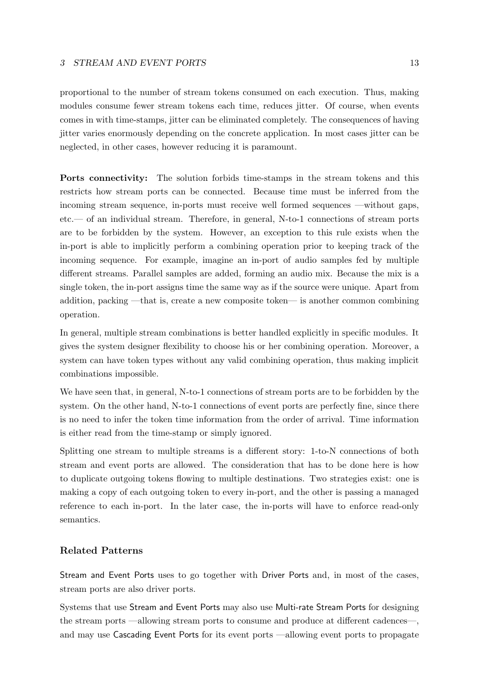proportional to the number of stream tokens consumed on each execution. Thus, making modules consume fewer stream tokens each time, reduces jitter. Of course, when events comes in with time-stamps, jitter can be eliminated completely. The consequences of having jitter varies enormously depending on the concrete application. In most cases jitter can be neglected, in other cases, however reducing it is paramount.

Ports connectivity: The solution forbids time-stamps in the stream tokens and this restricts how stream ports can be connected. Because time must be inferred from the incoming stream sequence, in-ports must receive well formed sequences —without gaps, etc.— of an individual stream. Therefore, in general, N-to-1 connections of stream ports are to be forbidden by the system. However, an exception to this rule exists when the in-port is able to implicitly perform a combining operation prior to keeping track of the incoming sequence. For example, imagine an in-port of audio samples fed by multiple different streams. Parallel samples are added, forming an audio mix. Because the mix is a single token, the in-port assigns time the same way as if the source were unique. Apart from addition, packing —that is, create a new composite token— is another common combining operation.

In general, multiple stream combinations is better handled explicitly in specific modules. It gives the system designer flexibility to choose his or her combining operation. Moreover, a system can have token types without any valid combining operation, thus making implicit combinations impossible.

We have seen that, in general, N-to-1 connections of stream ports are to be forbidden by the system. On the other hand, N-to-1 connections of event ports are perfectly fine, since there is no need to infer the token time information from the order of arrival. Time information is either read from the time-stamp or simply ignored.

Splitting one stream to multiple streams is a different story: 1-to-N connections of both stream and event ports are allowed. The consideration that has to be done here is how to duplicate outgoing tokens flowing to multiple destinations. Two strategies exist: one is making a copy of each outgoing token to every in-port, and the other is passing a managed reference to each in-port. In the later case, the in-ports will have to enforce read-only semantics.

### Related Patterns

Stream and Event Ports uses to go together with Driver Ports and, in most of the cases, stream ports are also driver ports.

Systems that use Stream and Event Ports may also use Multi-rate Stream Ports for designing the stream ports —allowing stream ports to consume and produce at different cadences—, and may use Cascading Event Ports for its event ports —allowing event ports to propagate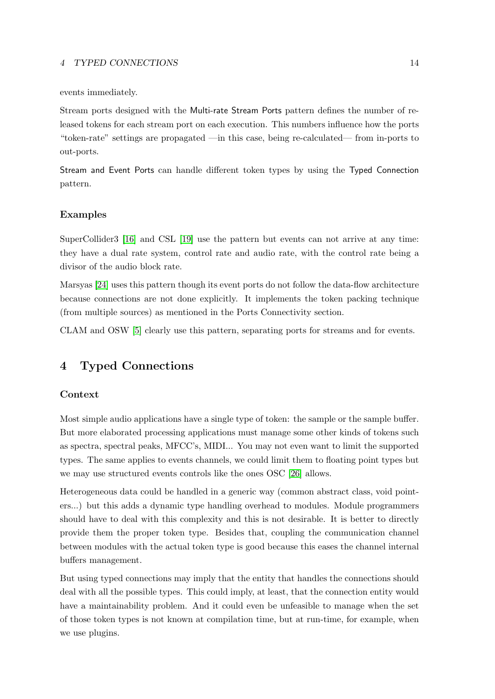#### 4 TYPED CONNECTIONS 14

events immediately.

Stream ports designed with the Multi-rate Stream Ports pattern defines the number of released tokens for each stream port on each execution. This numbers influence how the ports "token-rate" settings are propagated —in this case, being re-calculated— from in-ports to out-ports.

Stream and Event Ports can handle different token types by using the Typed Connection pattern.

### Examples

SuperCollider3 [\[16\]](#page-41-10) and CSL [\[19\]](#page-41-0) use the pattern but events can not arrive at any time: they have a dual rate system, control rate and audio rate, with the control rate being a divisor of the audio block rate.

Marsyas [\[24\]](#page-41-9) uses this pattern though its event ports do not follow the data-flow architecture because connections are not done explicitly. It implements the token packing technique (from multiple sources) as mentioned in the Ports Connectivity section.

CLAM and OSW [\[5\]](#page-40-2) clearly use this pattern, separating ports for streams and for events.

# 4 Typed Connections

### Context

Most simple audio applications have a single type of token: the sample or the sample buffer. But more elaborated processing applications must manage some other kinds of tokens such as spectra, spectral peaks, MFCC's, MIDI... You may not even want to limit the supported types. The same applies to events channels, we could limit them to floating point types but we may use structured events controls like the ones OSC [\[26\]](#page-41-11) allows.

Heterogeneous data could be handled in a generic way (common abstract class, void pointers...) but this adds a dynamic type handling overhead to modules. Module programmers should have to deal with this complexity and this is not desirable. It is better to directly provide them the proper token type. Besides that, coupling the communication channel between modules with the actual token type is good because this eases the channel internal buffers management.

But using typed connections may imply that the entity that handles the connections should deal with all the possible types. This could imply, at least, that the connection entity would have a maintainability problem. And it could even be unfeasible to manage when the set of those token types is not known at compilation time, but at run-time, for example, when we use plugins.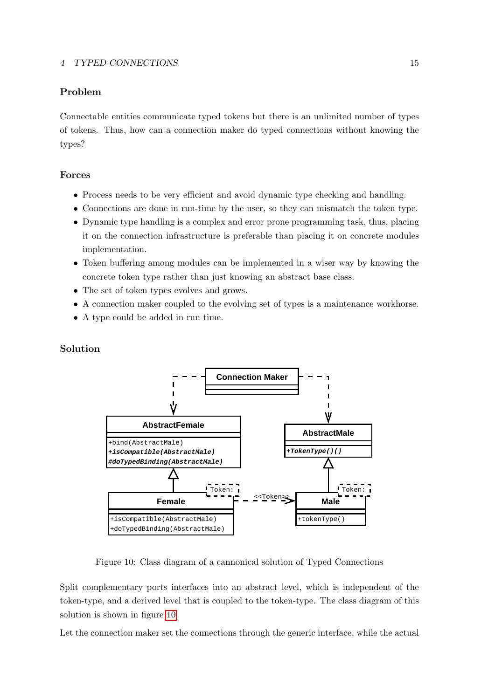### 4 TYPED CONNECTIONS 15

### Problem

Connectable entities communicate typed tokens but there is an unlimited number of types of tokens. Thus, how can a connection maker do typed connections without knowing the types?

### Forces

- Process needs to be very efficient and avoid dynamic type checking and handling.
- Connections are done in run-time by the user, so they can mismatch the token type.
- Dynamic type handling is a complex and error prone programming task, thus, placing it on the connection infrastructure is preferable than placing it on concrete modules implementation.
- Token buffering among modules can be implemented in a wiser way by knowing the concrete token type rather than just knowing an abstract base class.
- The set of token types evolves and grows.
- A connection maker coupled to the evolving set of types is a maintenance workhorse.
- A type could be added in run time.

### Solution



<span id="page-14-0"></span>Figure 10: Class diagram of a cannonical solution of Typed Connections

Split complementary ports interfaces into an abstract level, which is independent of the token-type, and a derived level that is coupled to the token-type. The class diagram of this solution is shown in figure [10.](#page-14-0)

Let the connection maker set the connections through the generic interface, while the actual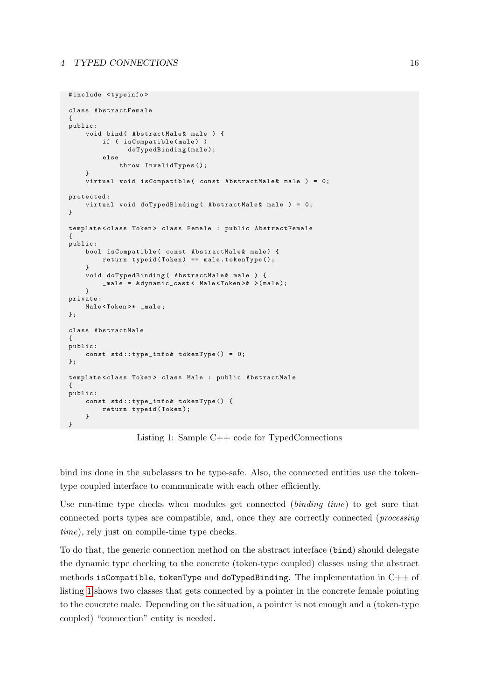```
# include < typeinfo >
class AbstractFemale
{
public :
    void bind ( AbstractMale & male ) {
        if ( isCompatible (male) )
              doTypedBinding (male);
        else
             throw InvalidTypes ();
    }
    virtual void isCompatible ( const AbstractMale & male ) = 0;
protected :
    virtual void doTypedBinding ( AbstractMale & male ) = 0;
}
template < class Token > class Female : public AbstractFemale
{
public :
    bool isCompatible ( const AbstractMale & male) {
        return typeid (Token) == male.tokenType ();
    }
    void doTypedBinding ( AbstractMale & male ) {
         _male = & dynamic_cast < Male < Token >& >( male );
    }
private :
    Male<Token>* _male;
};
class AbstractMale
{
public :
    const std::type\_info& tokenType() = 0;
};
template < class Token > class Male : public AbstractMale
{
public :
   const std:: type_info& tokenType() {
        return typeid (Token);
    }
}
```
Listing 1: Sample C++ code for TypedConnections

bind ins done in the subclasses to be type-safe. Also, the connected entities use the tokentype coupled interface to communicate with each other efficiently.

Use run-time type checks when modules get connected (binding time) to get sure that connected ports types are compatible, and, once they are correctly connected (processing time), rely just on compile-time type checks.

To do that, the generic connection method on the abstract interface (bind) should delegate the dynamic type checking to the concrete (token-type coupled) classes using the abstract methods is Compatible, to keep Type and doTypedBinding. The implementation in  $C++$  of listing [1](#page-15-0) shows two classes that gets connected by a pointer in the concrete female pointing to the concrete male. Depending on the situation, a pointer is not enough and a (token-type coupled) "connection" entity is needed.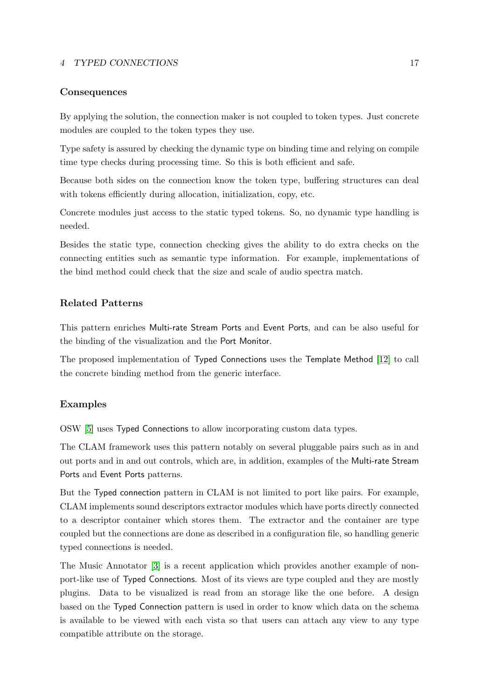#### 4 TYPED CONNECTIONS 17

#### Consequences

By applying the solution, the connection maker is not coupled to token types. Just concrete modules are coupled to the token types they use.

Type safety is assured by checking the dynamic type on binding time and relying on compile time type checks during processing time. So this is both efficient and safe.

Because both sides on the connection know the token type, buffering structures can deal with tokens efficiently during allocation, initialization, copy, etc.

Concrete modules just access to the static typed tokens. So, no dynamic type handling is needed.

Besides the static type, connection checking gives the ability to do extra checks on the connecting entities such as semantic type information. For example, implementations of the bind method could check that the size and scale of audio spectra match.

#### Related Patterns

This pattern enriches Multi-rate Stream Ports and Event Ports, and can be also useful for the binding of the visualization and the Port Monitor.

The proposed implementation of Typed Connections uses the Template Method [\[12\]](#page-40-9) to call the concrete binding method from the generic interface.

#### Examples

OSW [\[5\]](#page-40-2) uses Typed Connections to allow incorporating custom data types.

The CLAM framework uses this pattern notably on several pluggable pairs such as in and out ports and in and out controls, which are, in addition, examples of the Multi-rate Stream Ports and Event Ports patterns.

But the Typed connection pattern in CLAM is not limited to port like pairs. For example, CLAM implements sound descriptors extractor modules which have ports directly connected to a descriptor container which stores them. The extractor and the container are type coupled but the connections are done as described in a configuration file, so handling generic typed connections is needed.

The Music Annotator [\[3\]](#page-40-10) is a recent application which provides another example of nonport-like use of Typed Connections. Most of its views are type coupled and they are mostly plugins. Data to be visualized is read from an storage like the one before. A design based on the Typed Connection pattern is used in order to know which data on the schema is available to be viewed with each vista so that users can attach any view to any type compatible attribute on the storage.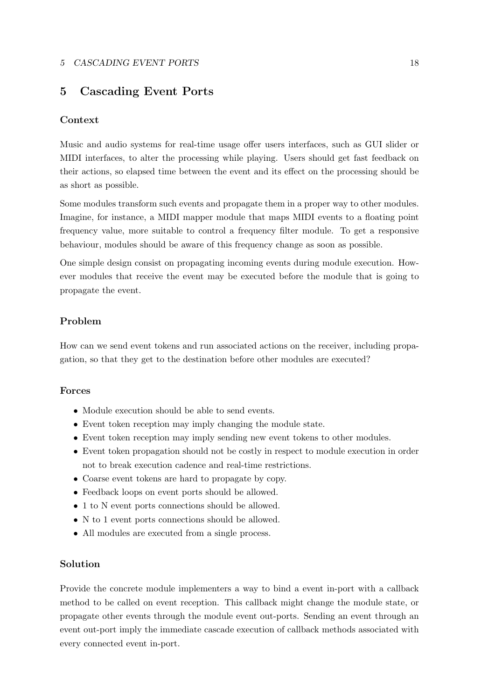### 5 CASCADING EVENT PORTS 18

# 5 Cascading Event Ports

### Context

Music and audio systems for real-time usage offer users interfaces, such as GUI slider or MIDI interfaces, to alter the processing while playing. Users should get fast feedback on their actions, so elapsed time between the event and its effect on the processing should be as short as possible.

Some modules transform such events and propagate them in a proper way to other modules. Imagine, for instance, a MIDI mapper module that maps MIDI events to a floating point frequency value, more suitable to control a frequency filter module. To get a responsive behaviour, modules should be aware of this frequency change as soon as possible.

One simple design consist on propagating incoming events during module execution. However modules that receive the event may be executed before the module that is going to propagate the event.

### Problem

How can we send event tokens and run associated actions on the receiver, including propagation, so that they get to the destination before other modules are executed?

#### Forces

- Module execution should be able to send events.
- Event token reception may imply changing the module state.
- Event token reception may imply sending new event tokens to other modules.
- Event token propagation should not be costly in respect to module execution in order not to break execution cadence and real-time restrictions.
- Coarse event tokens are hard to propagate by copy.
- Feedback loops on event ports should be allowed.
- 1 to N event ports connections should be allowed.
- N to 1 event ports connections should be allowed.
- All modules are executed from a single process.

### Solution

Provide the concrete module implementers a way to bind a event in-port with a callback method to be called on event reception. This callback might change the module state, or propagate other events through the module event out-ports. Sending an event through an event out-port imply the immediate cascade execution of callback methods associated with every connected event in-port.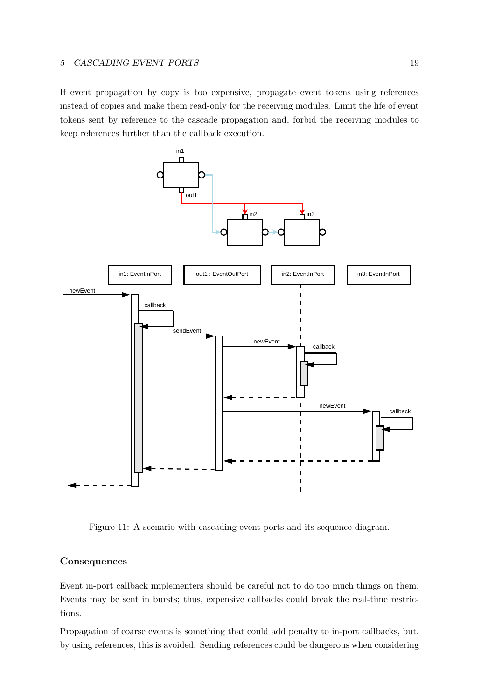If event propagation by copy is too expensive, propagate event tokens using references instead of copies and make them read-only for the receiving modules. Limit the life of event tokens sent by reference to the cascade propagation and, forbid the receiving modules to keep references further than the callback execution.



Figure 11: A scenario with cascading event ports and its sequence diagram.

### **Consequences**

Event in-port callback implementers should be careful not to do too much things on them. Events may be sent in bursts; thus, expensive callbacks could break the real-time restrictions.

Propagation of coarse events is something that could add penalty to in-port callbacks, but, by using references, this is avoided. Sending references could be dangerous when considering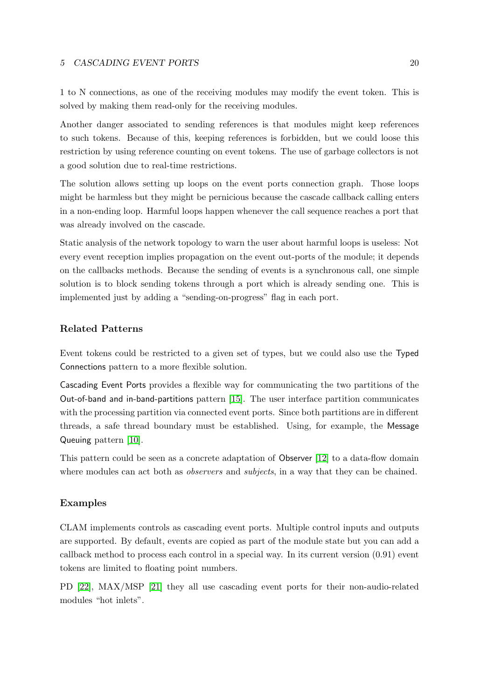#### 5 CASCADING EVENT PORTS 20

1 to N connections, as one of the receiving modules may modify the event token. This is solved by making them read-only for the receiving modules.

Another danger associated to sending references is that modules might keep references to such tokens. Because of this, keeping references is forbidden, but we could loose this restriction by using reference counting on event tokens. The use of garbage collectors is not a good solution due to real-time restrictions.

The solution allows setting up loops on the event ports connection graph. Those loops might be harmless but they might be pernicious because the cascade callback calling enters in a non-ending loop. Harmful loops happen whenever the call sequence reaches a port that was already involved on the cascade.

Static analysis of the network topology to warn the user about harmful loops is useless: Not every event reception implies propagation on the event out-ports of the module; it depends on the callbacks methods. Because the sending of events is a synchronous call, one simple solution is to block sending tokens through a port which is already sending one. This is implemented just by adding a "sending-on-progress" flag in each port.

### Related Patterns

Event tokens could be restricted to a given set of types, but we could also use the Typed Connections pattern to a more flexible solution.

Cascading Event Ports provides a flexible way for communicating the two partitions of the Out-of-band and in-band-partitions pattern [\[15\]](#page-41-2). The user interface partition communicates with the processing partition via connected event ports. Since both partitions are in different threads, a safe thread boundary must be established. Using, for example, the Message Queuing pattern [\[10\]](#page-40-11).

This pattern could be seen as a concrete adaptation of Observer [\[12\]](#page-40-9) to a data-flow domain where modules can act both as *observers* and *subjects*, in a way that they can be chained.

### Examples

CLAM implements controls as cascading event ports. Multiple control inputs and outputs are supported. By default, events are copied as part of the module state but you can add a callback method to process each control in a special way. In its current version (0.91) event tokens are limited to floating point numbers.

PD [\[22\]](#page-41-7), MAX/MSP [\[21\]](#page-41-8) they all use cascading event ports for their non-audio-related modules "hot inlets".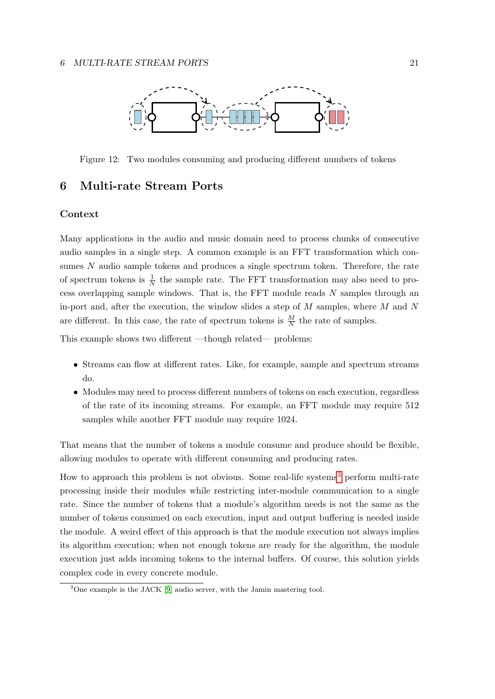

<span id="page-20-0"></span>Figure 12: Two modules consuming and producing different numbers of tokens

# 6 Multi-rate Stream Ports

### Context

Many applications in the audio and music domain need to process chunks of consecutive audio samples in a single step. A common example is an FFT transformation which consumes N audio sample tokens and produces a single spectrum token. Therefore, the rate of spectrum tokens is  $\frac{1}{N}$  the sample rate. The FFT transformation may also need to process overlapping sample windows. That is, the FFT module reads N samples through an in-port and, after the execution, the window slides a step of  $M$  samples, where  $M$  and  $N$ are different. In this case, the rate of spectrum tokens is  $\frac{M}{N}$  the rate of samples.

This example shows two different —though related— problems:

- Streams can flow at different rates. Like, for example, sample and spectrum streams do.
- Modules may need to process different numbers of tokens on each execution, regardless of the rate of its incoming streams. For example, an FFT module may require 512 samples while another FFT module may require 1024.

That means that the number of tokens a module consume and produce should be flexible, allowing modules to operate with different consuming and producing rates.

How to approach this problem is not obvious. Some real-life systems<sup>[3](#page-0-0)</sup> perform multi-rate processing inside their modules while restricting inter-module communication to a single rate. Since the number of tokens that a module's algorithm needs is not the same as the number of tokens consumed on each execution, input and output buffering is needed inside the module. A weird effect of this approach is that the module execution not always implies its algorithm execution; when not enough tokens are ready for the algorithm, the module execution just adds incoming tokens to the internal buffers. Of course, this solution yields complex code in every concrete module.

<sup>3</sup>One example is the JACK [\[9\]](#page-40-7) audio server, with the Jamin mastering tool.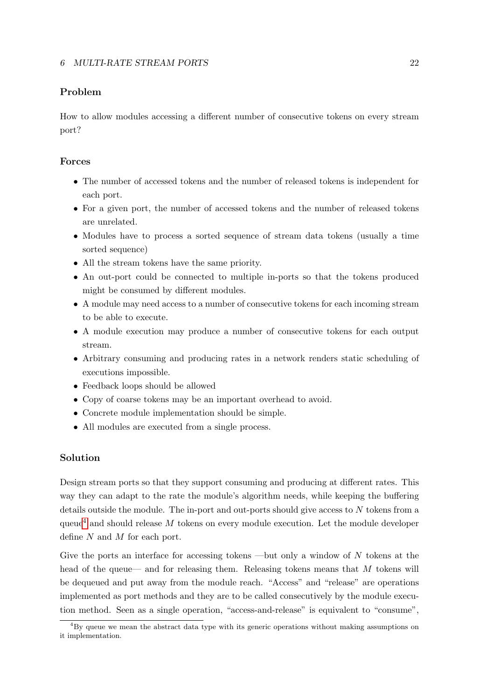### Problem

How to allow modules accessing a different number of consecutive tokens on every stream port?

### Forces

- The number of accessed tokens and the number of released tokens is independent for each port.
- For a given port, the number of accessed tokens and the number of released tokens are unrelated.
- Modules have to process a sorted sequence of stream data tokens (usually a time sorted sequence)
- All the stream tokens have the same priority.
- An out-port could be connected to multiple in-ports so that the tokens produced might be consumed by different modules.
- A module may need access to a number of consecutive tokens for each incoming stream to be able to execute.
- A module execution may produce a number of consecutive tokens for each output stream.
- Arbitrary consuming and producing rates in a network renders static scheduling of executions impossible.
- Feedback loops should be allowed
- Copy of coarse tokens may be an important overhead to avoid.
- Concrete module implementation should be simple.
- All modules are executed from a single process.

### Solution

Design stream ports so that they support consuming and producing at different rates. This way they can adapt to the rate the module's algorithm needs, while keeping the buffering details outside the module. The in-port and out-ports should give access to N tokens from a queue<sup>[4](#page-0-0)</sup> and should release  $M$  tokens on every module execution. Let the module developer define N and M for each port.

Give the ports an interface for accessing tokens —but only a window of  $N$  tokens at the head of the queue— and for releasing them. Releasing tokens means that M tokens will be dequeued and put away from the module reach. "Access" and "release" are operations implemented as port methods and they are to be called consecutively by the module execution method. Seen as a single operation, "access-and-release" is equivalent to "consume",

<sup>&</sup>lt;sup>4</sup>By queue we mean the abstract data type with its generic operations without making assumptions on it implementation.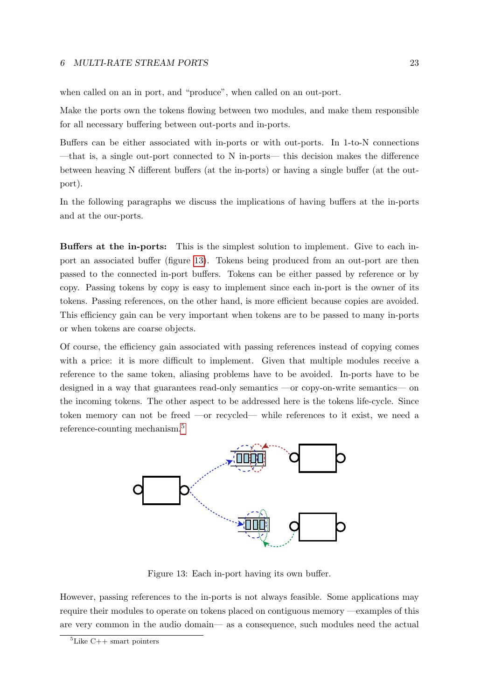#### 6 MULTI-RATE STREAM PORTS 23

when called on an in port, and "produce", when called on an out-port.

Make the ports own the tokens flowing between two modules, and make them responsible for all necessary buffering between out-ports and in-ports.

Buffers can be either associated with in-ports or with out-ports. In 1-to-N connections —that is, a single out-port connected to N in-ports— this decision makes the difference between heaving N different buffers (at the in-ports) or having a single buffer (at the outport).

In the following paragraphs we discuss the implications of having buffers at the in-ports and at the our-ports.

Buffers at the in-ports: This is the simplest solution to implement. Give to each inport an associated buffer (figure [13\)](#page-22-0). Tokens being produced from an out-port are then passed to the connected in-port buffers. Tokens can be either passed by reference or by copy. Passing tokens by copy is easy to implement since each in-port is the owner of its tokens. Passing references, on the other hand, is more efficient because copies are avoided. This efficiency gain can be very important when tokens are to be passed to many in-ports or when tokens are coarse objects.

Of course, the efficiency gain associated with passing references instead of copying comes with a price: it is more difficult to implement. Given that multiple modules receive a reference to the same token, aliasing problems have to be avoided. In-ports have to be designed in a way that guarantees read-only semantics —or copy-on-write semantics— on the incoming tokens. The other aspect to be addressed here is the tokens life-cycle. Since token memory can not be freed —or recycled— while references to it exist, we need a reference-counting mechanism.[5](#page-0-0)



Figure 13: Each in-port having its own buffer.

<span id="page-22-0"></span>However, passing references to the in-ports is not always feasible. Some applications may require their modules to operate on tokens placed on contiguous memory —examples of this are very common in the audio domain— as a consequence, such modules need the actual

<sup>&</sup>lt;sup>5</sup>Like C++ smart pointers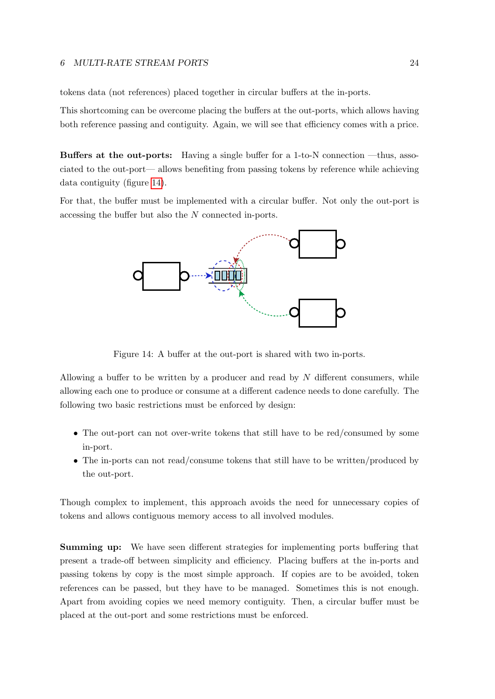tokens data (not references) placed together in circular buffers at the in-ports.

This shortcoming can be overcome placing the buffers at the out-ports, which allows having both reference passing and contiguity. Again, we will see that efficiency comes with a price.

Buffers at the out-ports: Having a single buffer for a 1-to-N connection —thus, associated to the out-port— allows benefiting from passing tokens by reference while achieving data contiguity (figure [14\)](#page-23-0).

For that, the buffer must be implemented with a circular buffer. Not only the out-port is accessing the buffer but also the N connected in-ports.



Figure 14: A buffer at the out-port is shared with two in-ports.

<span id="page-23-0"></span>Allowing a buffer to be written by a producer and read by N different consumers, while allowing each one to produce or consume at a different cadence needs to done carefully. The following two basic restrictions must be enforced by design:

- The out-port can not over-write tokens that still have to be red/consumed by some in-port.
- The in-ports can not read/consume tokens that still have to be written/produced by the out-port.

Though complex to implement, this approach avoids the need for unnecessary copies of tokens and allows contiguous memory access to all involved modules.

Summing up: We have seen different strategies for implementing ports buffering that present a trade-off between simplicity and efficiency. Placing buffers at the in-ports and passing tokens by copy is the most simple approach. If copies are to be avoided, token references can be passed, but they have to be managed. Sometimes this is not enough. Apart from avoiding copies we need memory contiguity. Then, a circular buffer must be placed at the out-port and some restrictions must be enforced.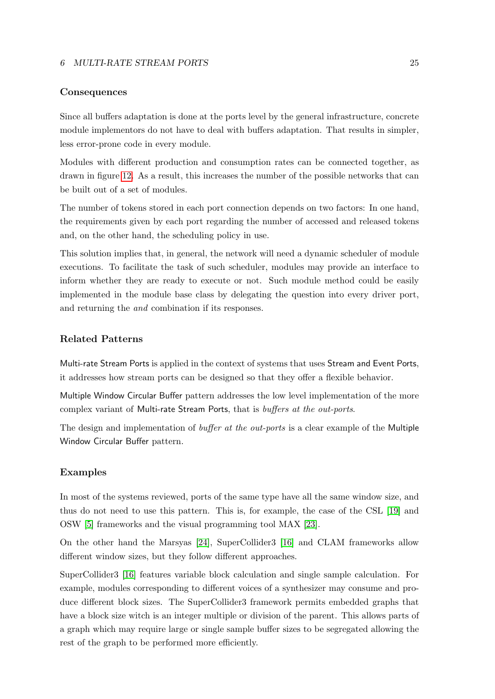### 6 MULTI-RATE STREAM PORTS 25

#### Consequences

Since all buffers adaptation is done at the ports level by the general infrastructure, concrete module implementors do not have to deal with buffers adaptation. That results in simpler, less error-prone code in every module.

Modules with different production and consumption rates can be connected together, as drawn in figure [12.](#page-20-0) As a result, this increases the number of the possible networks that can be built out of a set of modules.

The number of tokens stored in each port connection depends on two factors: In one hand, the requirements given by each port regarding the number of accessed and released tokens and, on the other hand, the scheduling policy in use.

This solution implies that, in general, the network will need a dynamic scheduler of module executions. To facilitate the task of such scheduler, modules may provide an interface to inform whether they are ready to execute or not. Such module method could be easily implemented in the module base class by delegating the question into every driver port, and returning the and combination if its responses.

### Related Patterns

Multi-rate Stream Ports is applied in the context of systems that uses Stream and Event Ports, it addresses how stream ports can be designed so that they offer a flexible behavior.

Multiple Window Circular Buffer pattern addresses the low level implementation of the more complex variant of Multi-rate Stream Ports, that is buffers at the out-ports.

The design and implementation of *buffer at the out-ports* is a clear example of the Multiple Window Circular Buffer pattern.

### Examples

In most of the systems reviewed, ports of the same type have all the same window size, and thus do not need to use this pattern. This is, for example, the case of the CSL [\[19\]](#page-41-0) and OSW [\[5\]](#page-40-2) frameworks and the visual programming tool MAX [\[23\]](#page-41-12).

On the other hand the Marsyas [\[24\]](#page-41-9), SuperCollider3 [\[16\]](#page-41-10) and CLAM frameworks allow different window sizes, but they follow different approaches.

SuperCollider3 [\[16\]](#page-41-10) features variable block calculation and single sample calculation. For example, modules corresponding to different voices of a synthesizer may consume and produce different block sizes. The SuperCollider3 framework permits embedded graphs that have a block size witch is an integer multiple or division of the parent. This allows parts of a graph which may require large or single sample buffer sizes to be segregated allowing the rest of the graph to be performed more efficiently.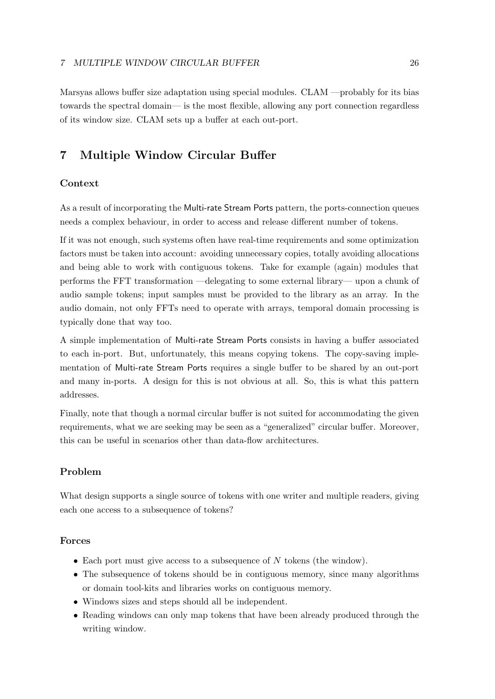Marsyas allows buffer size adaptation using special modules. CLAM —probably for its bias towards the spectral domain— is the most flexible, allowing any port connection regardless of its window size. CLAM sets up a buffer at each out-port.

# 7 Multiple Window Circular Buffer

### Context

As a result of incorporating the Multi-rate Stream Ports pattern, the ports-connection queues needs a complex behaviour, in order to access and release different number of tokens.

If it was not enough, such systems often have real-time requirements and some optimization factors must be taken into account: avoiding unnecessary copies, totally avoiding allocations and being able to work with contiguous tokens. Take for example (again) modules that performs the FFT transformation —delegating to some external library— upon a chunk of audio sample tokens; input samples must be provided to the library as an array. In the audio domain, not only FFTs need to operate with arrays, temporal domain processing is typically done that way too.

A simple implementation of Multi-rate Stream Ports consists in having a buffer associated to each in-port. But, unfortunately, this means copying tokens. The copy-saving implementation of Multi-rate Stream Ports requires a single buffer to be shared by an out-port and many in-ports. A design for this is not obvious at all. So, this is what this pattern addresses.

Finally, note that though a normal circular buffer is not suited for accommodating the given requirements, what we are seeking may be seen as a "generalized" circular buffer. Moreover, this can be useful in scenarios other than data-flow architectures.

# Problem

What design supports a single source of tokens with one writer and multiple readers, giving each one access to a subsequence of tokens?

### Forces

- Each port must give access to a subsequence of  $N$  tokens (the window).
- The subsequence of tokens should be in contiguous memory, since many algorithms or domain tool-kits and libraries works on contiguous memory.
- Windows sizes and steps should all be independent.
- Reading windows can only map tokens that have been already produced through the writing window.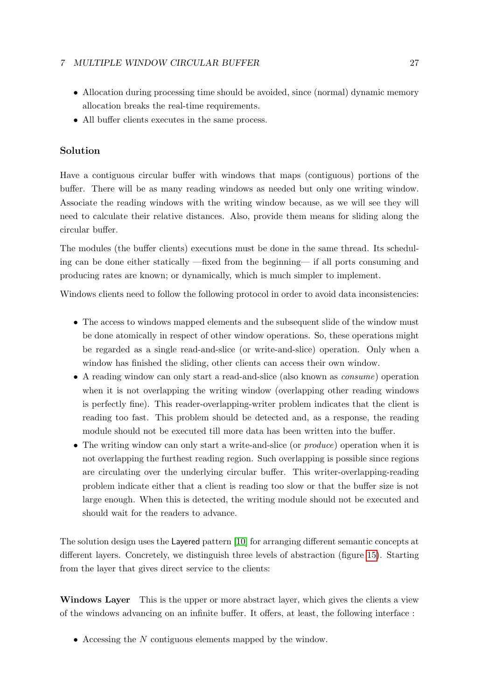- Allocation during processing time should be avoided, since (normal) dynamic memory allocation breaks the real-time requirements.
- All buffer clients executes in the same process.

### Solution

Have a contiguous circular buffer with windows that maps (contiguous) portions of the buffer. There will be as many reading windows as needed but only one writing window. Associate the reading windows with the writing window because, as we will see they will need to calculate their relative distances. Also, provide them means for sliding along the circular buffer.

The modules (the buffer clients) executions must be done in the same thread. Its scheduling can be done either statically —fixed from the beginning— if all ports consuming and producing rates are known; or dynamically, which is much simpler to implement.

Windows clients need to follow the following protocol in order to avoid data inconsistencies:

- The access to windows mapped elements and the subsequent slide of the window must be done atomically in respect of other window operations. So, these operations might be regarded as a single read-and-slice (or write-and-slice) operation. Only when a window has finished the sliding, other clients can access their own window.
- A reading window can only start a read-and-slice (also known as consume) operation when it is not overlapping the writing window (overlapping other reading windows is perfectly fine). This reader-overlapping-writer problem indicates that the client is reading too fast. This problem should be detected and, as a response, the reading module should not be executed till more data has been written into the buffer.
- The writing window can only start a write-and-slice (or *produce*) operation when it is not overlapping the furthest reading region. Such overlapping is possible since regions are circulating over the underlying circular buffer. This writer-overlapping-reading problem indicate either that a client is reading too slow or that the buffer size is not large enough. When this is detected, the writing module should not be executed and should wait for the readers to advance.

The solution design uses the Layered pattern [\[10\]](#page-40-11) for arranging different semantic concepts at different layers. Concretely, we distinguish three levels of abstraction (figure [15\)](#page-27-0). Starting from the layer that gives direct service to the clients:

Windows Layer This is the upper or more abstract layer, which gives the clients a view of the windows advancing on an infinite buffer. It offers, at least, the following interface :

 $\bullet$  Accessing the N contiguous elements mapped by the window.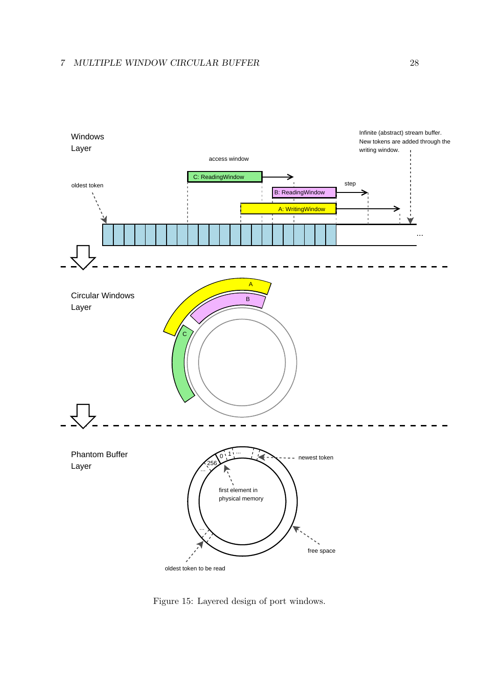

<span id="page-27-0"></span>Figure 15: Layered design of port windows.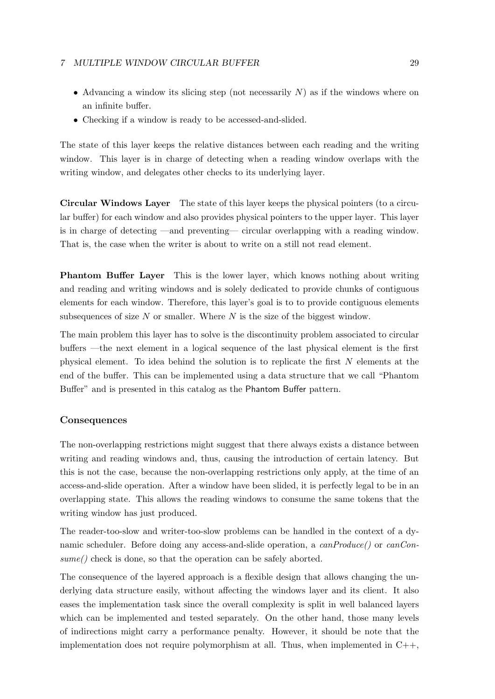#### 7 MULTIPLE WINDOW CIRCULAR BUFFER 29

- Advancing a window its slicing step (not necessarily  $N$ ) as if the windows where on an infinite buffer.
- Checking if a window is ready to be accessed-and-slided.

The state of this layer keeps the relative distances between each reading and the writing window. This layer is in charge of detecting when a reading window overlaps with the writing window, and delegates other checks to its underlying layer.

Circular Windows Layer The state of this layer keeps the physical pointers (to a circular buffer) for each window and also provides physical pointers to the upper layer. This layer is in charge of detecting —and preventing— circular overlapping with a reading window. That is, the case when the writer is about to write on a still not read element.

Phantom Buffer Layer This is the lower layer, which knows nothing about writing and reading and writing windows and is solely dedicated to provide chunks of contiguous elements for each window. Therefore, this layer's goal is to to provide contiguous elements subsequences of size  $N$  or smaller. Where  $N$  is the size of the biggest window.

The main problem this layer has to solve is the discontinuity problem associated to circular buffers —the next element in a logical sequence of the last physical element is the first physical element. To idea behind the solution is to replicate the first N elements at the end of the buffer. This can be implemented using a data structure that we call "Phantom Buffer" and is presented in this catalog as the Phantom Buffer pattern.

#### Consequences

The non-overlapping restrictions might suggest that there always exists a distance between writing and reading windows and, thus, causing the introduction of certain latency. But this is not the case, because the non-overlapping restrictions only apply, at the time of an access-and-slide operation. After a window have been slided, it is perfectly legal to be in an overlapping state. This allows the reading windows to consume the same tokens that the writing window has just produced.

The reader-too-slow and writer-too-slow problems can be handled in the context of a dynamic scheduler. Before doing any access-and-slide operation, a  $canProduce()$  or  $canCon$ sume() check is done, so that the operation can be safely aborted.

The consequence of the layered approach is a flexible design that allows changing the underlying data structure easily, without affecting the windows layer and its client. It also eases the implementation task since the overall complexity is split in well balanced layers which can be implemented and tested separately. On the other hand, those many levels of indirections might carry a performance penalty. However, it should be note that the implementation does not require polymorphism at all. Thus, when implemented in  $C++$ ,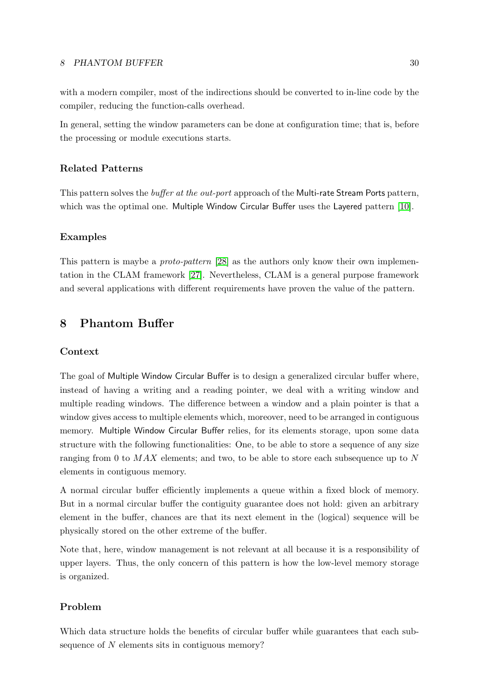#### 8 PHANTOM BUFFER 30

with a modern compiler, most of the indirections should be converted to in-line code by the compiler, reducing the function-calls overhead.

In general, setting the window parameters can be done at configuration time; that is, before the processing or module executions starts.

### Related Patterns

This pattern solves the *buffer at the out-port* approach of the Multi-rate Stream Ports pattern, which was the optimal one. Multiple Window Circular Buffer uses the Layered pattern [\[10\]](#page-40-11).

### Examples

This pattern is maybe a *proto-pattern* [\[28\]](#page-41-13) as the authors only know their own implementation in the CLAM framework [\[27\]](#page-41-3). Nevertheless, CLAM is a general purpose framework and several applications with different requirements have proven the value of the pattern.

# 8 Phantom Buffer

### Context

The goal of Multiple Window Circular Buffer is to design a generalized circular buffer where, instead of having a writing and a reading pointer, we deal with a writing window and multiple reading windows. The difference between a window and a plain pointer is that a window gives access to multiple elements which, moreover, need to be arranged in contiguous memory. Multiple Window Circular Buffer relies, for its elements storage, upon some data structure with the following functionalities: One, to be able to store a sequence of any size ranging from 0 to  $MAX$  elements; and two, to be able to store each subsequence up to N elements in contiguous memory.

A normal circular buffer efficiently implements a queue within a fixed block of memory. But in a normal circular buffer the contiguity guarantee does not hold: given an arbitrary element in the buffer, chances are that its next element in the (logical) sequence will be physically stored on the other extreme of the buffer.

Note that, here, window management is not relevant at all because it is a responsibility of upper layers. Thus, the only concern of this pattern is how the low-level memory storage is organized.

### Problem

Which data structure holds the benefits of circular buffer while guarantees that each subsequence of  $N$  elements sits in contiguous memory?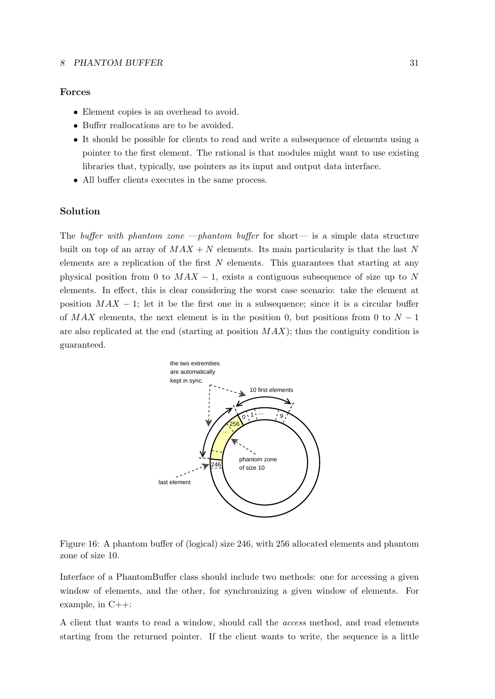### Forces

- Element copies is an overhead to avoid.
- Buffer reallocations are to be avoided.
- It should be possible for clients to read and write a subsequence of elements using a pointer to the first element. The rational is that modules might want to use existing libraries that, typically, use pointers as its input and output data interface.
- All buffer clients executes in the same process.

#### Solution

The buffer with phantom zone —phantom buffer for short— is a simple data structure built on top of an array of  $MAX + N$  elements. Its main particularity is that the last N elements are a replication of the first  $N$  elements. This guarantees that starting at any physical position from 0 to  $MAX - 1$ , exists a contiguous subsequence of size up to N elements. In effect, this is clear considering the worst case scenario: take the element at position  $MAX - 1$ ; let it be the first one in a subsequence; since it is a circular buffer of MAX elements, the next element is in the position 0, but positions from 0 to  $N-1$ are also replicated at the end (starting at position  $MAX$ ); thus the contiguity condition is guaranteed.



Figure 16: A phantom buffer of (logical) size 246, with 256 allocated elements and phantom zone of size 10.

Interface of a PhantomBuffer class should include two methods: one for accessing a given window of elements, and the other, for synchronizing a given window of elements. For example, in C++:

A client that wants to read a window, should call the access method, and read elements starting from the returned pointer. If the client wants to write, the sequence is a little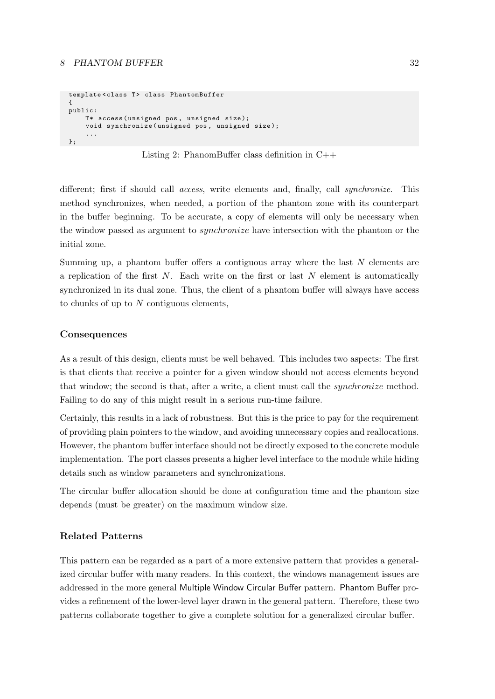#### 8 PHANTOM BUFFER 32

```
template<class T> class PhantomBuffer
{
public :
    T* access (unsigned pos, unsigned size);
    void synchronize ( unsigned pos , unsigned size );
    ...
};
```
Listing 2: PhanomBuffer class definition in C++

different; first if should call *access*, write elements and, finally, call *synchronize*. This method synchronizes, when needed, a portion of the phantom zone with its counterpart in the buffer beginning. To be accurate, a copy of elements will only be necessary when the window passed as argument to synchronize have intersection with the phantom or the initial zone.

Summing up, a phantom buffer offers a contiguous array where the last  $N$  elements are a replication of the first  $N$ . Each write on the first or last  $N$  element is automatically synchronized in its dual zone. Thus, the client of a phantom buffer will always have access to chunks of up to  $N$  contiguous elements,

### Consequences

As a result of this design, clients must be well behaved. This includes two aspects: The first is that clients that receive a pointer for a given window should not access elements beyond that window; the second is that, after a write, a client must call the synchronize method. Failing to do any of this might result in a serious run-time failure.

Certainly, this results in a lack of robustness. But this is the price to pay for the requirement of providing plain pointers to the window, and avoiding unnecessary copies and reallocations. However, the phantom buffer interface should not be directly exposed to the concrete module implementation. The port classes presents a higher level interface to the module while hiding details such as window parameters and synchronizations.

The circular buffer allocation should be done at configuration time and the phantom size depends (must be greater) on the maximum window size.

### Related Patterns

This pattern can be regarded as a part of a more extensive pattern that provides a generalized circular buffer with many readers. In this context, the windows management issues are addressed in the more general Multiple Window Circular Buffer pattern. Phantom Buffer provides a refinement of the lower-level layer drawn in the general pattern. Therefore, these two patterns collaborate together to give a complete solution for a generalized circular buffer.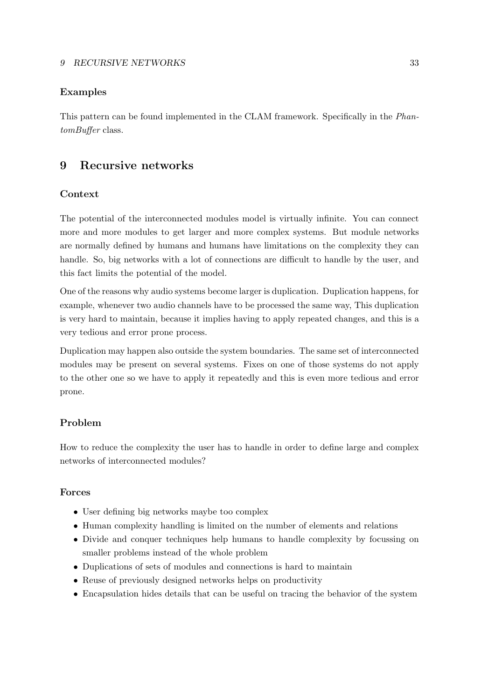### Examples

This pattern can be found implemented in the CLAM framework. Specifically in the PhantomBuffer class.

# 9 Recursive networks

### Context

The potential of the interconnected modules model is virtually infinite. You can connect more and more modules to get larger and more complex systems. But module networks are normally defined by humans and humans have limitations on the complexity they can handle. So, big networks with a lot of connections are difficult to handle by the user, and this fact limits the potential of the model.

One of the reasons why audio systems become larger is duplication. Duplication happens, for example, whenever two audio channels have to be processed the same way, This duplication is very hard to maintain, because it implies having to apply repeated changes, and this is a very tedious and error prone process.

Duplication may happen also outside the system boundaries. The same set of interconnected modules may be present on several systems. Fixes on one of those systems do not apply to the other one so we have to apply it repeatedly and this is even more tedious and error prone.

### Problem

How to reduce the complexity the user has to handle in order to define large and complex networks of interconnected modules?

### Forces

- User defining big networks maybe too complex
- Human complexity handling is limited on the number of elements and relations
- Divide and conquer techniques help humans to handle complexity by focussing on smaller problems instead of the whole problem
- Duplications of sets of modules and connections is hard to maintain
- Reuse of previously designed networks helps on productivity
- Encapsulation hides details that can be useful on tracing the behavior of the system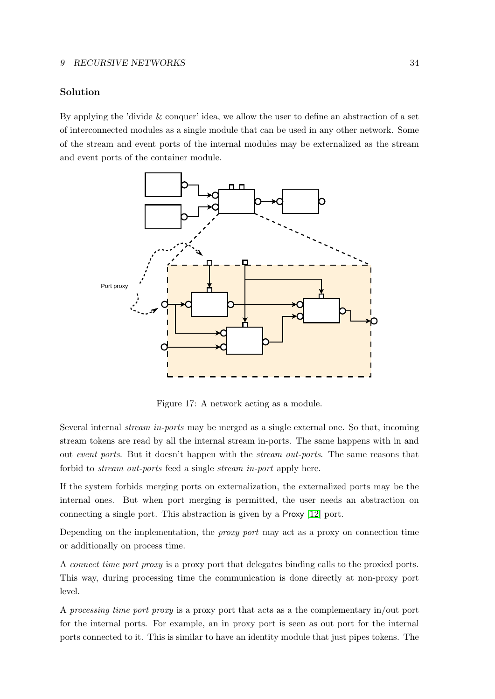### 9 RECURSIVE NETWORKS 34

### Solution

By applying the 'divide  $&$  conquer' idea, we allow the user to define an abstraction of a set of interconnected modules as a single module that can be used in any other network. Some of the stream and event ports of the internal modules may be externalized as the stream and event ports of the container module.



Figure 17: A network acting as a module.

Several internal stream in-ports may be merged as a single external one. So that, incoming stream tokens are read by all the internal stream in-ports. The same happens with in and out event ports. But it doesn't happen with the stream out-ports. The same reasons that forbid to stream out-ports feed a single stream in-port apply here.

If the system forbids merging ports on externalization, the externalized ports may be the internal ones. But when port merging is permitted, the user needs an abstraction on connecting a single port. This abstraction is given by a Proxy [\[12\]](#page-40-9) port.

Depending on the implementation, the proxy port may act as a proxy on connection time or additionally on process time.

A connect time port proxy is a proxy port that delegates binding calls to the proxied ports. This way, during processing time the communication is done directly at non-proxy port level.

A processing time port proxy is a proxy port that acts as a the complementary in/out port for the internal ports. For example, an in proxy port is seen as out port for the internal ports connected to it. This is similar to have an identity module that just pipes tokens. The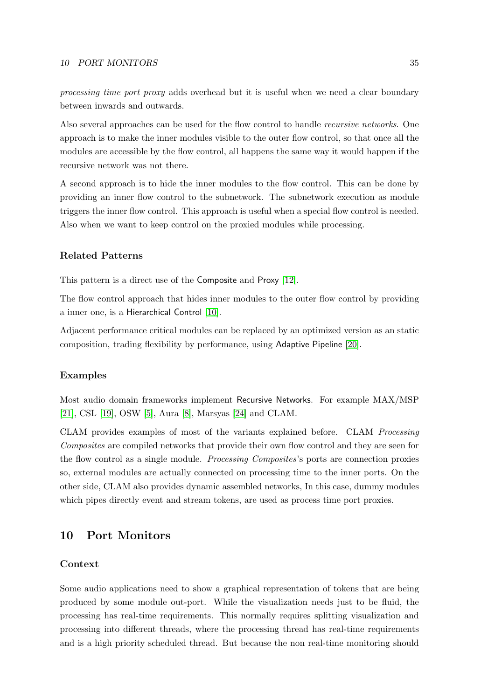processing time port proxy adds overhead but it is useful when we need a clear boundary between inwards and outwards.

Also several approaches can be used for the flow control to handle recursive networks. One approach is to make the inner modules visible to the outer flow control, so that once all the modules are accessible by the flow control, all happens the same way it would happen if the recursive network was not there.

A second approach is to hide the inner modules to the flow control. This can be done by providing an inner flow control to the subnetwork. The subnetwork execution as module triggers the inner flow control. This approach is useful when a special flow control is needed. Also when we want to keep control on the proxied modules while processing.

### Related Patterns

This pattern is a direct use of the Composite and Proxy [\[12\]](#page-40-9).

The flow control approach that hides inner modules to the outer flow control by providing a inner one, is a Hierarchical Control [\[10\]](#page-40-11).

Adjacent performance critical modules can be replaced by an optimized version as an static composition, trading flexibility by performance, using Adaptive Pipeline [\[20\]](#page-41-14).

### Examples

Most audio domain frameworks implement Recursive Networks. For example MAX/MSP [\[21\]](#page-41-8), CSL [\[19\]](#page-41-0), OSW [\[5\]](#page-40-2), Aura [\[8\]](#page-40-12), Marsyas [\[24\]](#page-41-9) and CLAM.

CLAM provides examples of most of the variants explained before. CLAM Processing Composites are compiled networks that provide their own flow control and they are seen for the flow control as a single module. Processing Composites's ports are connection proxies so, external modules are actually connected on processing time to the inner ports. On the other side, CLAM also provides dynamic assembled networks, In this case, dummy modules which pipes directly event and stream tokens, are used as process time port proxies.

# 10 Port Monitors

#### Context

Some audio applications need to show a graphical representation of tokens that are being produced by some module out-port. While the visualization needs just to be fluid, the processing has real-time requirements. This normally requires splitting visualization and processing into different threads, where the processing thread has real-time requirements and is a high priority scheduled thread. But because the non real-time monitoring should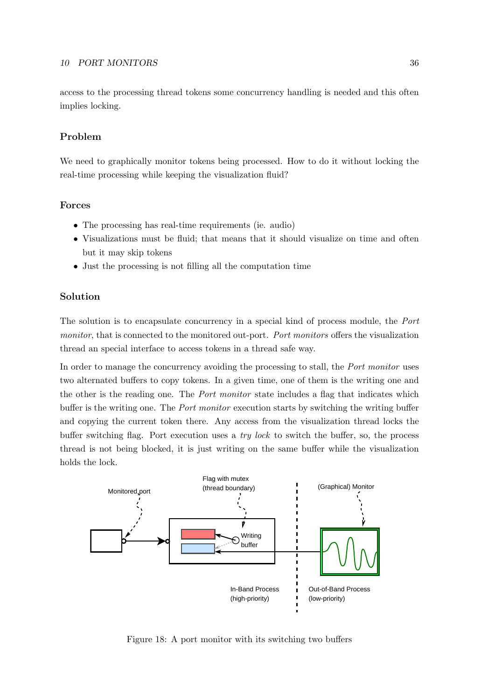### 10 PORT MONITORS 36

access to the processing thread tokens some concurrency handling is needed and this often implies locking.

### Problem

We need to graphically monitor tokens being processed. How to do it without locking the real-time processing while keeping the visualization fluid?

### Forces

- The processing has real-time requirements (ie. audio)
- Visualizations must be fluid; that means that it should visualize on time and often but it may skip tokens
- Just the processing is not filling all the computation time

### Solution

The solution is to encapsulate concurrency in a special kind of process module, the Port monitor, that is connected to the monitored out-port. Port monitors offers the visualization thread an special interface to access tokens in a thread safe way.

In order to manage the concurrency avoiding the processing to stall, the Port monitor uses two alternated buffers to copy tokens. In a given time, one of them is the writing one and the other is the reading one. The Port monitor state includes a flag that indicates which buffer is the writing one. The Port monitor execution starts by switching the writing buffer and copying the current token there. Any access from the visualization thread locks the buffer switching flag. Port execution uses a try lock to switch the buffer, so, the process thread is not being blocked, it is just writing on the same buffer while the visualization holds the lock.



Figure 18: A port monitor with its switching two buffers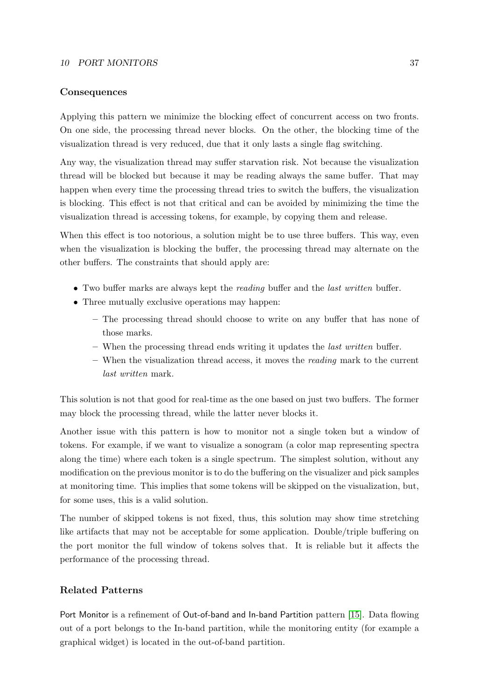#### 10 PORT MONITORS 37

#### Consequences

Applying this pattern we minimize the blocking effect of concurrent access on two fronts. On one side, the processing thread never blocks. On the other, the blocking time of the visualization thread is very reduced, due that it only lasts a single flag switching.

Any way, the visualization thread may suffer starvation risk. Not because the visualization thread will be blocked but because it may be reading always the same buffer. That may happen when every time the processing thread tries to switch the buffers, the visualization is blocking. This effect is not that critical and can be avoided by minimizing the time the visualization thread is accessing tokens, for example, by copying them and release.

When this effect is too notorious, a solution might be to use three buffers. This way, even when the visualization is blocking the buffer, the processing thread may alternate on the other buffers. The constraints that should apply are:

- Two buffer marks are always kept the *reading* buffer and the *last written* buffer.
- Three mutually exclusive operations may happen:
	- The processing thread should choose to write on any buffer that has none of those marks.
	- When the processing thread ends writing it updates the last written buffer.
	- When the visualization thread access, it moves the reading mark to the current last written mark.

This solution is not that good for real-time as the one based on just two buffers. The former may block the processing thread, while the latter never blocks it.

Another issue with this pattern is how to monitor not a single token but a window of tokens. For example, if we want to visualize a sonogram (a color map representing spectra along the time) where each token is a single spectrum. The simplest solution, without any modification on the previous monitor is to do the buffering on the visualizer and pick samples at monitoring time. This implies that some tokens will be skipped on the visualization, but, for some uses, this is a valid solution.

The number of skipped tokens is not fixed, thus, this solution may show time stretching like artifacts that may not be acceptable for some application. Double/triple buffering on the port monitor the full window of tokens solves that. It is reliable but it affects the performance of the processing thread.

### Related Patterns

Port Monitor is a refinement of Out-of-band and In-band Partition pattern [\[15\]](#page-41-2). Data flowing out of a port belongs to the In-band partition, while the monitoring entity (for example a graphical widget) is located in the out-of-band partition.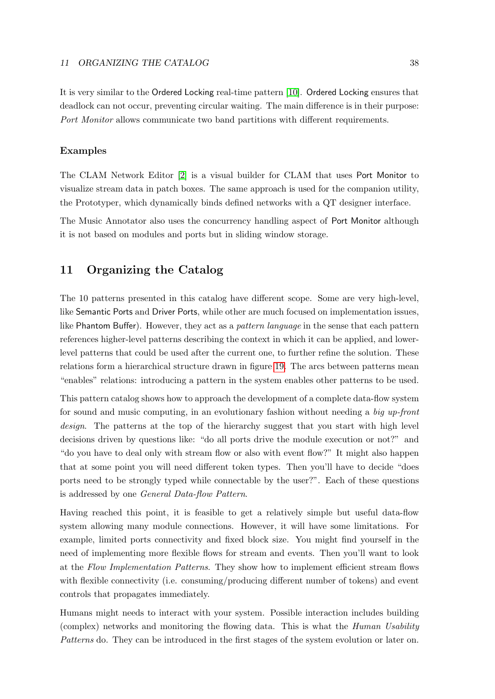It is very similar to the Ordered Locking real-time pattern [\[10\]](#page-40-11). Ordered Locking ensures that deadlock can not occur, preventing circular waiting. The main difference is in their purpose: Port Monitor allows communicate two band partitions with different requirements.

### Examples

The CLAM Network Editor [\[2\]](#page-40-6) is a visual builder for CLAM that uses Port Monitor to visualize stream data in patch boxes. The same approach is used for the companion utility, the Prototyper, which dynamically binds defined networks with a QT designer interface.

The Music Annotator also uses the concurrency handling aspect of Port Monitor although it is not based on modules and ports but in sliding window storage.

# 11 Organizing the Catalog

The 10 patterns presented in this catalog have different scope. Some are very high-level, like Semantic Ports and Driver Ports, while other are much focused on implementation issues, like Phantom Buffer). However, they act as a *pattern language* in the sense that each pattern references higher-level patterns describing the context in which it can be applied, and lowerlevel patterns that could be used after the current one, to further refine the solution. These relations form a hierarchical structure drawn in figure [19.](#page-38-0) The arcs between patterns mean "enables" relations: introducing a pattern in the system enables other patterns to be used.

This pattern catalog shows how to approach the development of a complete data-flow system for sound and music computing, in an evolutionary fashion without needing a big up-front design. The patterns at the top of the hierarchy suggest that you start with high level decisions driven by questions like: "do all ports drive the module execution or not?" and "do you have to deal only with stream flow or also with event flow?" It might also happen that at some point you will need different token types. Then you'll have to decide "does ports need to be strongly typed while connectable by the user?". Each of these questions is addressed by one General Data-flow Pattern.

Having reached this point, it is feasible to get a relatively simple but useful data-flow system allowing many module connections. However, it will have some limitations. For example, limited ports connectivity and fixed block size. You might find yourself in the need of implementing more flexible flows for stream and events. Then you'll want to look at the Flow Implementation Patterns. They show how to implement efficient stream flows with flexible connectivity (i.e. consuming/producing different number of tokens) and event controls that propagates immediately.

Humans might needs to interact with your system. Possible interaction includes building (complex) networks and monitoring the flowing data. This is what the Human Usability Patterns do. They can be introduced in the first stages of the system evolution or later on.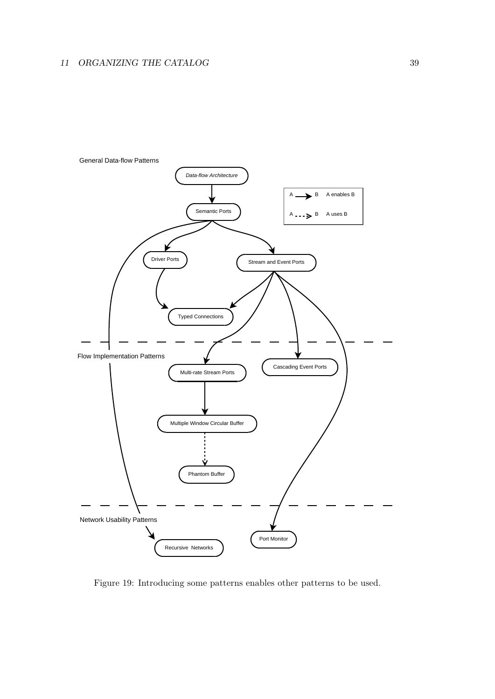

<span id="page-38-0"></span>Figure 19: Introducing some patterns enables other patterns to be used.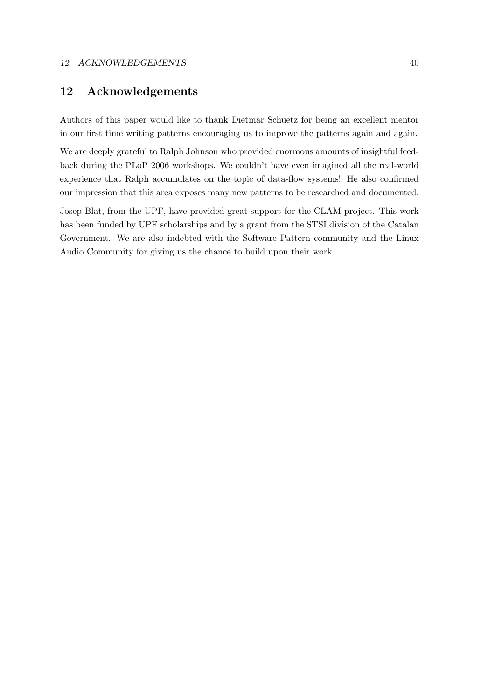# 12 Acknowledgements

Authors of this paper would like to thank Dietmar Schuetz for being an excellent mentor in our first time writing patterns encouraging us to improve the patterns again and again.

We are deeply grateful to Ralph Johnson who provided enormous amounts of insightful feedback during the PLoP 2006 workshops. We couldn't have even imagined all the real-world experience that Ralph accumulates on the topic of data-flow systems! He also confirmed our impression that this area exposes many new patterns to be researched and documented.

Josep Blat, from the UPF, have provided great support for the CLAM project. This work has been funded by UPF scholarships and by a grant from the STSI division of the Catalan Government. We are also indebted with the Software Pattern community and the Linux Audio Community for giving us the chance to build upon their work.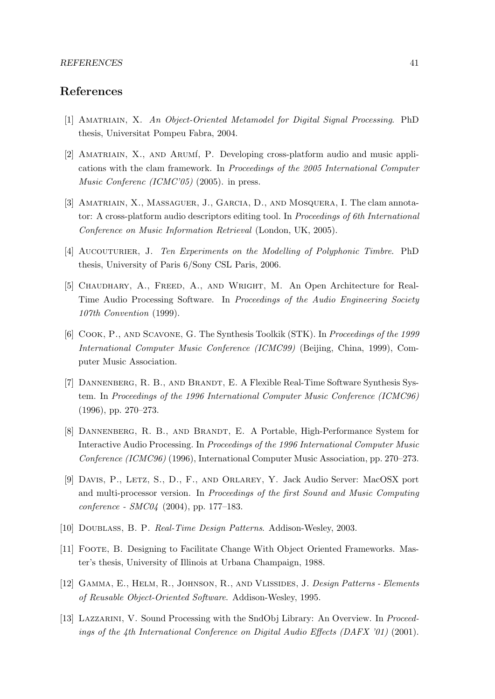# References

- <span id="page-40-4"></span>[1] Amatriain, X. An Object-Oriented Metamodel for Digital Signal Processing. PhD thesis, Universitat Pompeu Fabra, 2004.
- <span id="page-40-6"></span>[2] Amatriain, X., and Arum´ı, P. Developing cross-platform audio and music applications with the clam framework. In Proceedings of the 2005 International Computer Music Conferenc (ICMC'05) (2005). in press.
- <span id="page-40-10"></span>[3] Amatriain, X., Massaguer, J., Garcia, D., and Mosquera, I. The clam annotator: A cross-platform audio descriptors editing tool. In Proceedings of 6th International Conference on Music Information Retrieval (London, UK, 2005).
- <span id="page-40-5"></span>[4] Aucouturier, J. Ten Experiments on the Modelling of Polyphonic Timbre. PhD thesis, University of Paris 6/Sony CSL Paris, 2006.
- <span id="page-40-2"></span>[5] CHAUDHARY, A., FREED, A., AND WRIGHT, M. An Open Architecture for Real-Time Audio Processing Software. In Proceedings of the Audio Engineering Society 107th Convention (1999).
- <span id="page-40-3"></span>[6] COOK, P., AND SCAVONE, G. The Synthesis Toolkik (STK). In *Proceedings of the 1999* International Computer Music Conference (ICMC99) (Beijing, China, 1999), Computer Music Association.
- <span id="page-40-0"></span>[7] DANNENBERG, R. B., AND BRANDT, E. A Flexible Real-Time Software Synthesis System. In Proceedings of the 1996 International Computer Music Conference (ICMC96) (1996), pp. 270–273.
- <span id="page-40-12"></span>[8] DANNENBERG, R. B., AND BRANDT, E. A Portable, High-Performance System for Interactive Audio Processing. In Proceedings of the 1996 International Computer Music Conference (ICMC96) (1996), International Computer Music Association, pp. 270–273.
- <span id="page-40-7"></span>[9] Davis, P., Letz, S., D., F., and Orlarey, Y. Jack Audio Server: MacOSX port and multi-processor version. In Proceedings of the first Sound and Music Computing conference - SMC04 (2004), pp. 177–183.
- <span id="page-40-11"></span>[10] DOUBLASS, B. P. Real-Time Design Patterns. Addison-Wesley, 2003.
- <span id="page-40-8"></span>[11] Foote, B. Designing to Facilitate Change With Object Oriented Frameworks. Master's thesis, University of Illinois at Urbana Champaign, 1988.
- <span id="page-40-9"></span>[12] Gamma, E., Helm, R., Johnson, R., and Vlissides, J. Design Patterns - Elements of Reusable Object-Oriented Software. Addison-Wesley, 1995.
- <span id="page-40-1"></span>[13] LAZZARINI, V. Sound Processing with the SndObj Library: An Overview. In Proceedings of the 4th International Conference on Digital Audio Effects (DAFX '01) (2001).